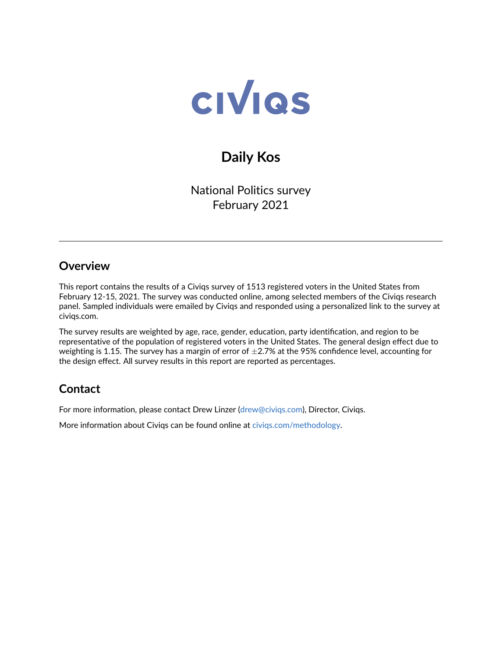

# **Daily Kos**

National Politics survey February 2021

### **Overview**

This report contains the results of a Civiqs survey of 1513 registered voters in the United States from February 12-15, 2021. The survey was conducted online, among selected members of the Civiqs research panel. Sampled individuals were emailed by Civiqs and responded using a personalized link to the survey at civiqs.com.

The survey results are weighted by age, race, gender, education, party identification, and region to be representative of the population of registered voters in the United States. The general design effect due to weighting is 1.15. The survey has a margin of error of  $\pm$ 2.7% at the 95% confidence level, accounting for the design effect. All survey results in this report are reported as percentages.

## **Contact**

For more information, please contact Drew Linzer [\(drew@civiqs.com\)](mailto:drew@civiqs.com), Director, Civiqs.

More information about Civiqs can be found online at [civiqs.com/methodology.](https://civiqs.com/methodology)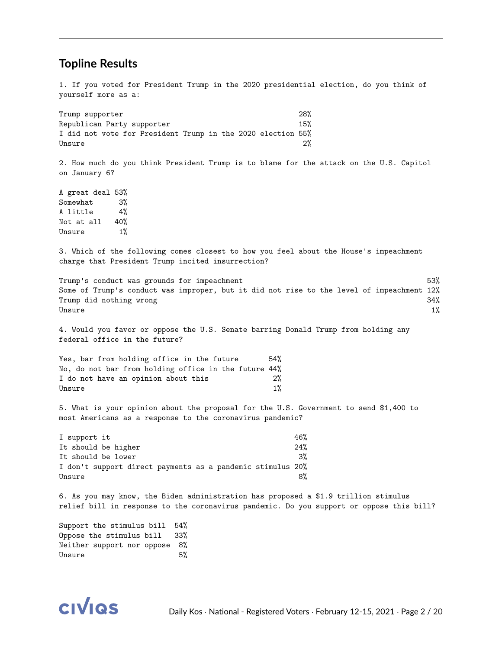#### **Topline Results**

1. If you voted for President Trump in the 2020 presidential election, do you think of yourself more as a:

Trump supporter 28% Republican Party supporter 15% I did not vote for President Trump in the 2020 election 55%  $Unsure$   $2\%$ 2. How much do you think President Trump is to blame for the attack on the U.S. Capitol on January 6? A great deal 53% Somewhat 3% A little 4% Not at all 40% Unsure 1% 3. Which of the following comes closest to how you feel about the House's impeachment charge that President Trump incited insurrection? Trump's conduct was grounds for impeachment 53% Some of Trump's conduct was improper, but it did not rise to the level of impeachment 12% Trump did nothing wrong 34% Unsure 1% 4. Would you favor or oppose the U.S. Senate barring Donald Trump from holding any federal office in the future? Yes, bar from holding office in the future 54% No, do not bar from holding office in the future 44% I do not have an opinion about this 2%  $Unsure$   $1\%$ 5. What is your opinion about the proposal for the U.S. Government to send \$1,400 to most Americans as a response to the coronavirus pandemic? I support it  $46%$ It should be higher 24% It should be lower 3% I don't support direct payments as a pandemic stimulus 20% Unsure 8% 6. As you may know, the Biden administration has proposed a \$1.9 trillion stimulus relief bill in response to the coronavirus pandemic. Do you support or oppose this bill? Support the stimulus bill 54%

Oppose the stimulus bill 33% Neither support nor oppose 8% Unsure 5%

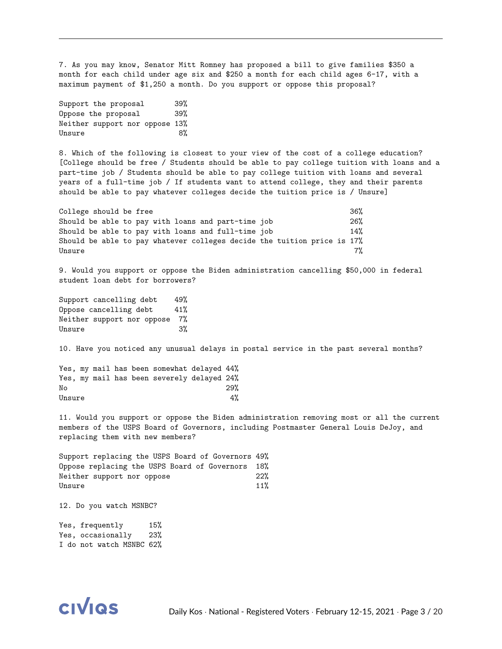7. As you may know, Senator Mitt Romney has proposed a bill to give families \$350 a month for each child under age six and \$250 a month for each child ages 6-17, with a maximum payment of \$1,250 a month. Do you support or oppose this proposal?

Support the proposal 39% Oppose the proposal 39% Neither support nor oppose 13% Unsure 8%

8. Which of the following is closest to your view of the cost of a college education? [College should be free / Students should be able to pay college tuition with loans and a part-time job / Students should be able to pay college tuition with loans and several years of a full-time job / If students want to attend college, they and their parents should be able to pay whatever colleges decide the tuition price is / Unsure]

| College should be free |  |  |  |  |                                                    |                                                                         |  | 36% |
|------------------------|--|--|--|--|----------------------------------------------------|-------------------------------------------------------------------------|--|-----|
|                        |  |  |  |  | Should be able to pay with loans and part-time job |                                                                         |  | 26% |
|                        |  |  |  |  | Should be able to pay with loans and full-time job |                                                                         |  | 14% |
|                        |  |  |  |  |                                                    | Should be able to pay whatever colleges decide the tuition price is 17% |  |     |
| Unsure                 |  |  |  |  |                                                    |                                                                         |  | 7%  |

9. Would you support or oppose the Biden administration cancelling \$50,000 in federal student loan debt for borrowers?

Support cancelling debt 49% Oppose cancelling debt 41% Neither support nor oppose 7% Unsure 3%

10. Have you noticed any unusual delays in postal service in the past several months?

|        |  |  | Yes, my mail has been somewhat delayed 44% |     |
|--------|--|--|--------------------------------------------|-----|
|        |  |  | Yes, my mail has been severely delayed 24% |     |
| No     |  |  |                                            | 29% |
| Unsure |  |  |                                            | 4%  |

11. Would you support or oppose the Biden administration removing most or all the current members of the USPS Board of Governors, including Postmaster General Louis DeJoy, and replacing them with new members?

Support replacing the USPS Board of Governors 49% Oppose replacing the USPS Board of Governors 18% Neither support nor oppose 22% Unsure  $11\%$ 

12. Do you watch MSNBC?

Yes, frequently 15% Yes, occasionally 23% I do not watch MSNBC 62%

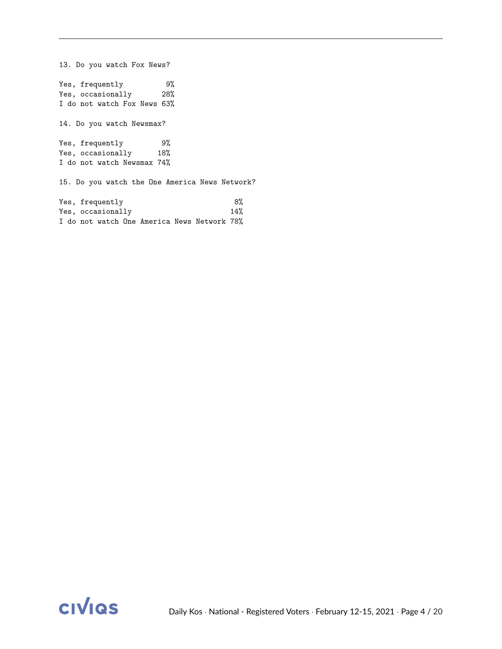13. Do you watch Fox News? Yes, frequently 9% Yes, occasionally 28% I do not watch Fox News 63% 14. Do you watch Newsmax? Yes, frequently 9% Yes, occasionally 18% I do not watch Newsmax 74% 15. Do you watch the One America News Network? Yes, frequently 8% Yes, occasionally 14% I do not watch One America News Network 78%

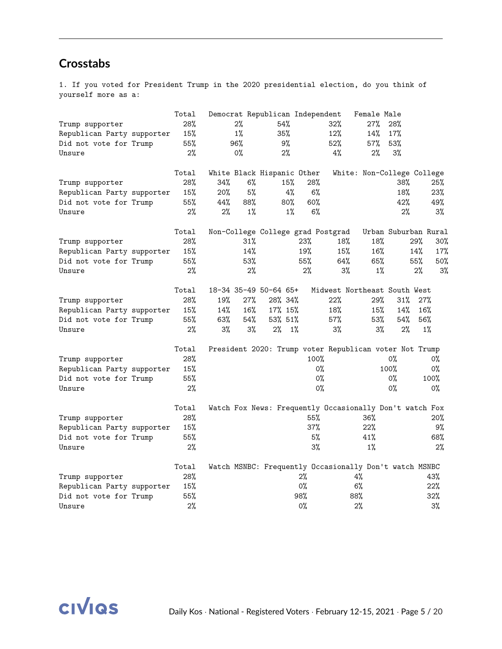## **Crosstabs**

1. If you voted for President Trump in the 2020 presidential election, do you think of yourself more as a:

|                            | Total |       |        | Democrat Republican Independent |       |                                                         | Female Male |       |                            |
|----------------------------|-------|-------|--------|---------------------------------|-------|---------------------------------------------------------|-------------|-------|----------------------------|
| Trump supporter            | 28%   |       | 2%     | 54%                             |       | 32%                                                     | 27%         | 28%   |                            |
| Republican Party supporter | 15%   |       | $1\%$  | 35%                             |       | 12%                                                     | 14%         | 17%   |                            |
| Did not vote for Trump     | 55%   |       | 96%    | 9%                              |       | 52%                                                     | 57%         | 53%   |                            |
| Unsure                     | 2%    |       | 0%     | 2%                              |       | 4%                                                      | $2\%$       | 3%    |                            |
|                            | Total |       |        | White Black Hispanic Other      |       |                                                         |             |       | White: Non-College College |
| Trump supporter            | 28%   | 34%   | 6%     | 15%                             | 28%   |                                                         |             | 38%   | 25%                        |
| Republican Party supporter | 15%   | 20%   | 5%     | 4%                              |       | 6%                                                      |             | 18%   | 23%                        |
| Did not vote for Trump     | 55%   | 44%   | 88%    | 80%                             | 60%   |                                                         |             | 42%   | 49%                        |
| Unsure                     | 2%    | 2%    | 1%     | $1\%$                           |       | 6%                                                      |             | 2%    | 3%                         |
|                            | Total |       |        |                                 |       | Non-College College grad Postgrad                       |             |       | Urban Suburban Rural       |
| Trump supporter            | 28%   |       | $31\%$ |                                 | 23%   | 18%                                                     | 18%         |       | 29%<br>30%                 |
| Republican Party supporter | 15%   |       | 14%    |                                 | 19%   | 15%                                                     | 16%         |       | 14%<br>17%                 |
| Did not vote for Trump     | 55%   |       | 53%    |                                 | 55%   | 64%                                                     | 65%         |       | 55%<br>$50\%$              |
| Unsure                     | 2%    |       | $2\%$  |                                 | $2\%$ | 3%                                                      | $1\%$       |       | 3%<br>2%                   |
|                            | Total |       |        | 18-34 35-49 50-64 65+           |       | Midwest Northeast South West                            |             |       |                            |
| Trump supporter            | 28%   | 19%   | 27%    | 28% 34%                         |       | 22%                                                     | 29%         | 31%   | 27%                        |
| Republican Party supporter | 15%   | 14%   | 16%    | 17% 15%                         |       | 18%                                                     | 15%         | 14%   | 16%                        |
| Did not vote for Trump     | 55%   | 63%   | 54%    | 53% 51%                         |       | 57%                                                     | 53%         | 54%   | 56%                        |
| Unsure                     | 2%    | $3\%$ | 3%     | 2%                              | $1\%$ | 3%                                                      | 3%          | 2%    | $1\%$                      |
|                            | Total |       |        |                                 |       | President 2020: Trump voter Republican voter Not Trump  |             |       |                            |
| Trump supporter            | 28%   |       |        |                                 |       | 100%                                                    |             | $0\%$ | 0%                         |
| Republican Party supporter | 15%   |       |        |                                 |       | $0\%$                                                   |             | 100%  | 0%                         |
| Did not vote for Trump     | 55%   |       |        |                                 |       | $0\%$                                                   |             | 0%    | 100%                       |
| Unsure                     | 2%    |       |        |                                 |       | 0%                                                      |             | $0\%$ | 0%                         |
|                            | Total |       |        |                                 |       | Watch Fox News: Frequently Occasionally Don't watch Fox |             |       |                            |
| Trump supporter            | 28%   |       |        |                                 | 55%   |                                                         | 36%         |       | 20%                        |
| Republican Party supporter | 15%   |       |        |                                 | 37%   |                                                         | 22%         |       | 9%                         |
| Did not vote for Trump     | 55%   |       |        |                                 |       | 5%                                                      | 41%         |       | 68%                        |
| Unsure                     | 2%    |       |        |                                 |       | $3\%$                                                   | $1\%$       |       | 2%                         |
|                            | Total |       |        |                                 |       | Watch MSNBC: Frequently Occasionally Don't watch MSNBC  |             |       |                            |
| Trump supporter            | 28%   |       |        |                                 | $2\%$ |                                                         | 4%          |       | 43%                        |
| Republican Party supporter | 15%   |       |        |                                 | $0\%$ |                                                         | 6%          |       | 22%                        |
| Did not vote for Trump     | 55%   |       |        |                                 | 98%   |                                                         | 88%         |       | 32%                        |
| Unsure                     | 2%    |       |        |                                 | $0\%$ |                                                         | 2%          |       | $3\%$                      |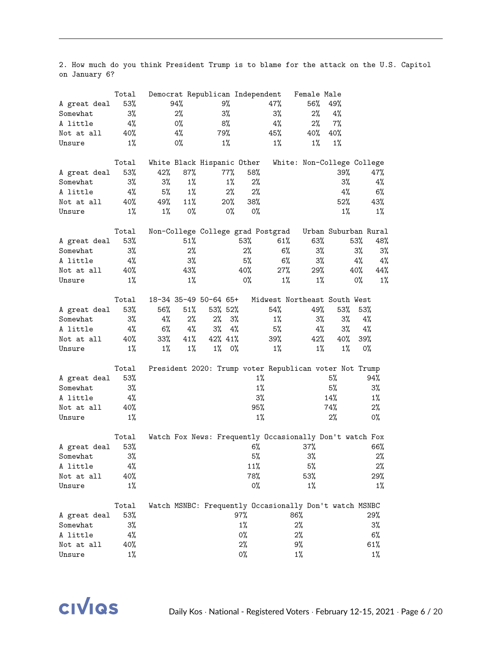2. How much do you think President Trump is to blame for the attack on the U.S. Capitol on January 6?

| 53%<br>94%<br>9%<br>47%<br>56%<br>49%<br>A great deal<br>$3\%$<br>3%<br>2%<br>3%<br>2%<br>4%<br>Somewhat<br>4%<br>7%<br>4%<br>0%<br>8%<br>2%<br>A little<br>4%<br>79%<br>45%<br>40%<br>40%<br>40%<br>Not at all<br>0%<br>$1\%$<br>$1\%$<br>$1\%$<br>$1\%$<br>$1\%$<br>Unsure<br>White Black Hispanic Other<br>Total<br>White: Non-College College<br>53%<br>42%<br>87%<br>77%<br>58%<br>39%<br>47%<br>A great deal<br>$3\%$<br>3%<br>3%<br>$1\%$<br>$1\%$<br>2%<br>Somewhat<br>4%<br>5%<br>$1\%$<br>2%<br>4%<br>2%<br>4%<br>$6\%$<br>A little<br>49%<br>11%<br>52%<br>40%<br>$20\%$<br>38%<br>43%<br>Not at all<br>$1\%$<br>$1\%$<br>0%<br>$1\%$<br>Unsure<br>0%<br>0%<br>$1\%$<br>Non-College College grad Postgrad<br>Urban Suburban Rural<br>Total<br>53%<br>53%<br>61%<br>63%<br>53%<br>51%<br>48%<br>A great deal<br>2%<br>2%<br>6%<br>$3\%$<br>3%<br>3%<br>3%<br>Somewhat<br>$3\%$<br>$3\%$<br>5%<br>6%<br>4%<br>$4\%$<br>4%<br>A little<br>29%<br>43%<br>27%<br>40%<br>40%<br>40%<br>44%<br>Not at all<br>$1\%$<br>$1\%$<br>0%<br>$1\%$<br>$1\%$<br>$0\%$<br>$1\%$<br>Unsure<br>18-34 35-49 50-64 65+<br>Midwest Northeast South West<br>Total<br>53%<br>56%<br>51%<br>53% 52%<br>54%<br>49%<br>53%<br>53%<br>A great deal<br>2%<br>$3\%$<br>3%<br>4%<br>2%<br>3%<br>$1\%$<br>3%<br>4%<br>Somewhat<br>3%<br>5%<br>4%<br>4%<br>6%<br>4%<br>4%<br>3%<br>$4\%$<br>A little<br>$33\%$<br>41%<br>42% 41%<br>39%<br>42%<br>40%<br>40%<br>39%<br>Not at all<br>$1\%$<br>$1\%$ 0%<br>$1\%$<br>$1\%$<br>$1\%$<br>$1\%$<br>$1\%$<br>0%<br>Unsure<br>President 2020: Trump voter Republican voter Not Trump<br>Total<br>53%<br>$1\%$<br>5%<br>94%<br>A great deal<br>$1\%$<br>5%<br>3%<br>3%<br>Somewhat<br>3%<br>4%<br>14%<br>$1\%$<br>A little<br>95%<br>2%<br>74%<br>Not at all<br>40%<br>$1\%$<br>$1\%$<br>2%<br>0%<br>Unsure<br>Watch Fox News: Frequently Occasionally Don't watch Fox<br>Total<br>6%<br>66%<br>53%<br>37%<br>A great deal<br>$5\%$<br>$3\%$<br>$2\%$<br>3%<br>Somewhat<br>11%<br>5%<br>$2\%$<br>A little<br>4%<br>78%<br>53%<br>29%<br>40%<br>Not at all<br>$1\%$<br>0%<br>$1\%$<br>$1\%$<br>Unsure<br>Watch MSNBC: Frequently Occasionally Don't watch MSNBC<br>Total<br>53%<br>97%<br>86%<br>29%<br>A great deal<br>$1\%$<br>$2\%$<br>$3\%$<br>3%<br>Somewhat | Total |  | Democrat Republican Independent |  | Female Male |  |
|------------------------------------------------------------------------------------------------------------------------------------------------------------------------------------------------------------------------------------------------------------------------------------------------------------------------------------------------------------------------------------------------------------------------------------------------------------------------------------------------------------------------------------------------------------------------------------------------------------------------------------------------------------------------------------------------------------------------------------------------------------------------------------------------------------------------------------------------------------------------------------------------------------------------------------------------------------------------------------------------------------------------------------------------------------------------------------------------------------------------------------------------------------------------------------------------------------------------------------------------------------------------------------------------------------------------------------------------------------------------------------------------------------------------------------------------------------------------------------------------------------------------------------------------------------------------------------------------------------------------------------------------------------------------------------------------------------------------------------------------------------------------------------------------------------------------------------------------------------------------------------------------------------------------------------------------------------------------------------------------------------------------------------------------------------------------------------------------------------------------------------------------------------------------------------------------------------------------------------------------------------------------------------|-------|--|---------------------------------|--|-------------|--|
|                                                                                                                                                                                                                                                                                                                                                                                                                                                                                                                                                                                                                                                                                                                                                                                                                                                                                                                                                                                                                                                                                                                                                                                                                                                                                                                                                                                                                                                                                                                                                                                                                                                                                                                                                                                                                                                                                                                                                                                                                                                                                                                                                                                                                                                                                    |       |  |                                 |  |             |  |
|                                                                                                                                                                                                                                                                                                                                                                                                                                                                                                                                                                                                                                                                                                                                                                                                                                                                                                                                                                                                                                                                                                                                                                                                                                                                                                                                                                                                                                                                                                                                                                                                                                                                                                                                                                                                                                                                                                                                                                                                                                                                                                                                                                                                                                                                                    |       |  |                                 |  |             |  |
|                                                                                                                                                                                                                                                                                                                                                                                                                                                                                                                                                                                                                                                                                                                                                                                                                                                                                                                                                                                                                                                                                                                                                                                                                                                                                                                                                                                                                                                                                                                                                                                                                                                                                                                                                                                                                                                                                                                                                                                                                                                                                                                                                                                                                                                                                    |       |  |                                 |  |             |  |
|                                                                                                                                                                                                                                                                                                                                                                                                                                                                                                                                                                                                                                                                                                                                                                                                                                                                                                                                                                                                                                                                                                                                                                                                                                                                                                                                                                                                                                                                                                                                                                                                                                                                                                                                                                                                                                                                                                                                                                                                                                                                                                                                                                                                                                                                                    |       |  |                                 |  |             |  |
|                                                                                                                                                                                                                                                                                                                                                                                                                                                                                                                                                                                                                                                                                                                                                                                                                                                                                                                                                                                                                                                                                                                                                                                                                                                                                                                                                                                                                                                                                                                                                                                                                                                                                                                                                                                                                                                                                                                                                                                                                                                                                                                                                                                                                                                                                    |       |  |                                 |  |             |  |
|                                                                                                                                                                                                                                                                                                                                                                                                                                                                                                                                                                                                                                                                                                                                                                                                                                                                                                                                                                                                                                                                                                                                                                                                                                                                                                                                                                                                                                                                                                                                                                                                                                                                                                                                                                                                                                                                                                                                                                                                                                                                                                                                                                                                                                                                                    |       |  |                                 |  |             |  |
|                                                                                                                                                                                                                                                                                                                                                                                                                                                                                                                                                                                                                                                                                                                                                                                                                                                                                                                                                                                                                                                                                                                                                                                                                                                                                                                                                                                                                                                                                                                                                                                                                                                                                                                                                                                                                                                                                                                                                                                                                                                                                                                                                                                                                                                                                    |       |  |                                 |  |             |  |
|                                                                                                                                                                                                                                                                                                                                                                                                                                                                                                                                                                                                                                                                                                                                                                                                                                                                                                                                                                                                                                                                                                                                                                                                                                                                                                                                                                                                                                                                                                                                                                                                                                                                                                                                                                                                                                                                                                                                                                                                                                                                                                                                                                                                                                                                                    |       |  |                                 |  |             |  |
|                                                                                                                                                                                                                                                                                                                                                                                                                                                                                                                                                                                                                                                                                                                                                                                                                                                                                                                                                                                                                                                                                                                                                                                                                                                                                                                                                                                                                                                                                                                                                                                                                                                                                                                                                                                                                                                                                                                                                                                                                                                                                                                                                                                                                                                                                    |       |  |                                 |  |             |  |
|                                                                                                                                                                                                                                                                                                                                                                                                                                                                                                                                                                                                                                                                                                                                                                                                                                                                                                                                                                                                                                                                                                                                                                                                                                                                                                                                                                                                                                                                                                                                                                                                                                                                                                                                                                                                                                                                                                                                                                                                                                                                                                                                                                                                                                                                                    |       |  |                                 |  |             |  |
|                                                                                                                                                                                                                                                                                                                                                                                                                                                                                                                                                                                                                                                                                                                                                                                                                                                                                                                                                                                                                                                                                                                                                                                                                                                                                                                                                                                                                                                                                                                                                                                                                                                                                                                                                                                                                                                                                                                                                                                                                                                                                                                                                                                                                                                                                    |       |  |                                 |  |             |  |
|                                                                                                                                                                                                                                                                                                                                                                                                                                                                                                                                                                                                                                                                                                                                                                                                                                                                                                                                                                                                                                                                                                                                                                                                                                                                                                                                                                                                                                                                                                                                                                                                                                                                                                                                                                                                                                                                                                                                                                                                                                                                                                                                                                                                                                                                                    |       |  |                                 |  |             |  |
|                                                                                                                                                                                                                                                                                                                                                                                                                                                                                                                                                                                                                                                                                                                                                                                                                                                                                                                                                                                                                                                                                                                                                                                                                                                                                                                                                                                                                                                                                                                                                                                                                                                                                                                                                                                                                                                                                                                                                                                                                                                                                                                                                                                                                                                                                    |       |  |                                 |  |             |  |
|                                                                                                                                                                                                                                                                                                                                                                                                                                                                                                                                                                                                                                                                                                                                                                                                                                                                                                                                                                                                                                                                                                                                                                                                                                                                                                                                                                                                                                                                                                                                                                                                                                                                                                                                                                                                                                                                                                                                                                                                                                                                                                                                                                                                                                                                                    |       |  |                                 |  |             |  |
|                                                                                                                                                                                                                                                                                                                                                                                                                                                                                                                                                                                                                                                                                                                                                                                                                                                                                                                                                                                                                                                                                                                                                                                                                                                                                                                                                                                                                                                                                                                                                                                                                                                                                                                                                                                                                                                                                                                                                                                                                                                                                                                                                                                                                                                                                    |       |  |                                 |  |             |  |
|                                                                                                                                                                                                                                                                                                                                                                                                                                                                                                                                                                                                                                                                                                                                                                                                                                                                                                                                                                                                                                                                                                                                                                                                                                                                                                                                                                                                                                                                                                                                                                                                                                                                                                                                                                                                                                                                                                                                                                                                                                                                                                                                                                                                                                                                                    |       |  |                                 |  |             |  |
|                                                                                                                                                                                                                                                                                                                                                                                                                                                                                                                                                                                                                                                                                                                                                                                                                                                                                                                                                                                                                                                                                                                                                                                                                                                                                                                                                                                                                                                                                                                                                                                                                                                                                                                                                                                                                                                                                                                                                                                                                                                                                                                                                                                                                                                                                    |       |  |                                 |  |             |  |
|                                                                                                                                                                                                                                                                                                                                                                                                                                                                                                                                                                                                                                                                                                                                                                                                                                                                                                                                                                                                                                                                                                                                                                                                                                                                                                                                                                                                                                                                                                                                                                                                                                                                                                                                                                                                                                                                                                                                                                                                                                                                                                                                                                                                                                                                                    |       |  |                                 |  |             |  |
|                                                                                                                                                                                                                                                                                                                                                                                                                                                                                                                                                                                                                                                                                                                                                                                                                                                                                                                                                                                                                                                                                                                                                                                                                                                                                                                                                                                                                                                                                                                                                                                                                                                                                                                                                                                                                                                                                                                                                                                                                                                                                                                                                                                                                                                                                    |       |  |                                 |  |             |  |
|                                                                                                                                                                                                                                                                                                                                                                                                                                                                                                                                                                                                                                                                                                                                                                                                                                                                                                                                                                                                                                                                                                                                                                                                                                                                                                                                                                                                                                                                                                                                                                                                                                                                                                                                                                                                                                                                                                                                                                                                                                                                                                                                                                                                                                                                                    |       |  |                                 |  |             |  |
|                                                                                                                                                                                                                                                                                                                                                                                                                                                                                                                                                                                                                                                                                                                                                                                                                                                                                                                                                                                                                                                                                                                                                                                                                                                                                                                                                                                                                                                                                                                                                                                                                                                                                                                                                                                                                                                                                                                                                                                                                                                                                                                                                                                                                                                                                    |       |  |                                 |  |             |  |
|                                                                                                                                                                                                                                                                                                                                                                                                                                                                                                                                                                                                                                                                                                                                                                                                                                                                                                                                                                                                                                                                                                                                                                                                                                                                                                                                                                                                                                                                                                                                                                                                                                                                                                                                                                                                                                                                                                                                                                                                                                                                                                                                                                                                                                                                                    |       |  |                                 |  |             |  |
|                                                                                                                                                                                                                                                                                                                                                                                                                                                                                                                                                                                                                                                                                                                                                                                                                                                                                                                                                                                                                                                                                                                                                                                                                                                                                                                                                                                                                                                                                                                                                                                                                                                                                                                                                                                                                                                                                                                                                                                                                                                                                                                                                                                                                                                                                    |       |  |                                 |  |             |  |
|                                                                                                                                                                                                                                                                                                                                                                                                                                                                                                                                                                                                                                                                                                                                                                                                                                                                                                                                                                                                                                                                                                                                                                                                                                                                                                                                                                                                                                                                                                                                                                                                                                                                                                                                                                                                                                                                                                                                                                                                                                                                                                                                                                                                                                                                                    |       |  |                                 |  |             |  |
|                                                                                                                                                                                                                                                                                                                                                                                                                                                                                                                                                                                                                                                                                                                                                                                                                                                                                                                                                                                                                                                                                                                                                                                                                                                                                                                                                                                                                                                                                                                                                                                                                                                                                                                                                                                                                                                                                                                                                                                                                                                                                                                                                                                                                                                                                    |       |  |                                 |  |             |  |
|                                                                                                                                                                                                                                                                                                                                                                                                                                                                                                                                                                                                                                                                                                                                                                                                                                                                                                                                                                                                                                                                                                                                                                                                                                                                                                                                                                                                                                                                                                                                                                                                                                                                                                                                                                                                                                                                                                                                                                                                                                                                                                                                                                                                                                                                                    |       |  |                                 |  |             |  |
|                                                                                                                                                                                                                                                                                                                                                                                                                                                                                                                                                                                                                                                                                                                                                                                                                                                                                                                                                                                                                                                                                                                                                                                                                                                                                                                                                                                                                                                                                                                                                                                                                                                                                                                                                                                                                                                                                                                                                                                                                                                                                                                                                                                                                                                                                    |       |  |                                 |  |             |  |
|                                                                                                                                                                                                                                                                                                                                                                                                                                                                                                                                                                                                                                                                                                                                                                                                                                                                                                                                                                                                                                                                                                                                                                                                                                                                                                                                                                                                                                                                                                                                                                                                                                                                                                                                                                                                                                                                                                                                                                                                                                                                                                                                                                                                                                                                                    |       |  |                                 |  |             |  |
|                                                                                                                                                                                                                                                                                                                                                                                                                                                                                                                                                                                                                                                                                                                                                                                                                                                                                                                                                                                                                                                                                                                                                                                                                                                                                                                                                                                                                                                                                                                                                                                                                                                                                                                                                                                                                                                                                                                                                                                                                                                                                                                                                                                                                                                                                    |       |  |                                 |  |             |  |
|                                                                                                                                                                                                                                                                                                                                                                                                                                                                                                                                                                                                                                                                                                                                                                                                                                                                                                                                                                                                                                                                                                                                                                                                                                                                                                                                                                                                                                                                                                                                                                                                                                                                                                                                                                                                                                                                                                                                                                                                                                                                                                                                                                                                                                                                                    |       |  |                                 |  |             |  |
|                                                                                                                                                                                                                                                                                                                                                                                                                                                                                                                                                                                                                                                                                                                                                                                                                                                                                                                                                                                                                                                                                                                                                                                                                                                                                                                                                                                                                                                                                                                                                                                                                                                                                                                                                                                                                                                                                                                                                                                                                                                                                                                                                                                                                                                                                    |       |  |                                 |  |             |  |
|                                                                                                                                                                                                                                                                                                                                                                                                                                                                                                                                                                                                                                                                                                                                                                                                                                                                                                                                                                                                                                                                                                                                                                                                                                                                                                                                                                                                                                                                                                                                                                                                                                                                                                                                                                                                                                                                                                                                                                                                                                                                                                                                                                                                                                                                                    |       |  |                                 |  |             |  |
|                                                                                                                                                                                                                                                                                                                                                                                                                                                                                                                                                                                                                                                                                                                                                                                                                                                                                                                                                                                                                                                                                                                                                                                                                                                                                                                                                                                                                                                                                                                                                                                                                                                                                                                                                                                                                                                                                                                                                                                                                                                                                                                                                                                                                                                                                    |       |  |                                 |  |             |  |
|                                                                                                                                                                                                                                                                                                                                                                                                                                                                                                                                                                                                                                                                                                                                                                                                                                                                                                                                                                                                                                                                                                                                                                                                                                                                                                                                                                                                                                                                                                                                                                                                                                                                                                                                                                                                                                                                                                                                                                                                                                                                                                                                                                                                                                                                                    |       |  |                                 |  |             |  |
|                                                                                                                                                                                                                                                                                                                                                                                                                                                                                                                                                                                                                                                                                                                                                                                                                                                                                                                                                                                                                                                                                                                                                                                                                                                                                                                                                                                                                                                                                                                                                                                                                                                                                                                                                                                                                                                                                                                                                                                                                                                                                                                                                                                                                                                                                    |       |  |                                 |  |             |  |
|                                                                                                                                                                                                                                                                                                                                                                                                                                                                                                                                                                                                                                                                                                                                                                                                                                                                                                                                                                                                                                                                                                                                                                                                                                                                                                                                                                                                                                                                                                                                                                                                                                                                                                                                                                                                                                                                                                                                                                                                                                                                                                                                                                                                                                                                                    |       |  |                                 |  |             |  |
|                                                                                                                                                                                                                                                                                                                                                                                                                                                                                                                                                                                                                                                                                                                                                                                                                                                                                                                                                                                                                                                                                                                                                                                                                                                                                                                                                                                                                                                                                                                                                                                                                                                                                                                                                                                                                                                                                                                                                                                                                                                                                                                                                                                                                                                                                    |       |  |                                 |  |             |  |
|                                                                                                                                                                                                                                                                                                                                                                                                                                                                                                                                                                                                                                                                                                                                                                                                                                                                                                                                                                                                                                                                                                                                                                                                                                                                                                                                                                                                                                                                                                                                                                                                                                                                                                                                                                                                                                                                                                                                                                                                                                                                                                                                                                                                                                                                                    |       |  |                                 |  |             |  |
|                                                                                                                                                                                                                                                                                                                                                                                                                                                                                                                                                                                                                                                                                                                                                                                                                                                                                                                                                                                                                                                                                                                                                                                                                                                                                                                                                                                                                                                                                                                                                                                                                                                                                                                                                                                                                                                                                                                                                                                                                                                                                                                                                                                                                                                                                    |       |  |                                 |  |             |  |
|                                                                                                                                                                                                                                                                                                                                                                                                                                                                                                                                                                                                                                                                                                                                                                                                                                                                                                                                                                                                                                                                                                                                                                                                                                                                                                                                                                                                                                                                                                                                                                                                                                                                                                                                                                                                                                                                                                                                                                                                                                                                                                                                                                                                                                                                                    |       |  |                                 |  |             |  |
|                                                                                                                                                                                                                                                                                                                                                                                                                                                                                                                                                                                                                                                                                                                                                                                                                                                                                                                                                                                                                                                                                                                                                                                                                                                                                                                                                                                                                                                                                                                                                                                                                                                                                                                                                                                                                                                                                                                                                                                                                                                                                                                                                                                                                                                                                    |       |  |                                 |  |             |  |
|                                                                                                                                                                                                                                                                                                                                                                                                                                                                                                                                                                                                                                                                                                                                                                                                                                                                                                                                                                                                                                                                                                                                                                                                                                                                                                                                                                                                                                                                                                                                                                                                                                                                                                                                                                                                                                                                                                                                                                                                                                                                                                                                                                                                                                                                                    |       |  |                                 |  |             |  |
|                                                                                                                                                                                                                                                                                                                                                                                                                                                                                                                                                                                                                                                                                                                                                                                                                                                                                                                                                                                                                                                                                                                                                                                                                                                                                                                                                                                                                                                                                                                                                                                                                                                                                                                                                                                                                                                                                                                                                                                                                                                                                                                                                                                                                                                                                    |       |  |                                 |  |             |  |
|                                                                                                                                                                                                                                                                                                                                                                                                                                                                                                                                                                                                                                                                                                                                                                                                                                                                                                                                                                                                                                                                                                                                                                                                                                                                                                                                                                                                                                                                                                                                                                                                                                                                                                                                                                                                                                                                                                                                                                                                                                                                                                                                                                                                                                                                                    |       |  |                                 |  |             |  |
|                                                                                                                                                                                                                                                                                                                                                                                                                                                                                                                                                                                                                                                                                                                                                                                                                                                                                                                                                                                                                                                                                                                                                                                                                                                                                                                                                                                                                                                                                                                                                                                                                                                                                                                                                                                                                                                                                                                                                                                                                                                                                                                                                                                                                                                                                    |       |  |                                 |  |             |  |
| 0%<br>6%<br>A little<br>4%<br>$2\%$                                                                                                                                                                                                                                                                                                                                                                                                                                                                                                                                                                                                                                                                                                                                                                                                                                                                                                                                                                                                                                                                                                                                                                                                                                                                                                                                                                                                                                                                                                                                                                                                                                                                                                                                                                                                                                                                                                                                                                                                                                                                                                                                                                                                                                                |       |  |                                 |  |             |  |
| 2%<br>9%<br>61%<br>Not at all<br>40%                                                                                                                                                                                                                                                                                                                                                                                                                                                                                                                                                                                                                                                                                                                                                                                                                                                                                                                                                                                                                                                                                                                                                                                                                                                                                                                                                                                                                                                                                                                                                                                                                                                                                                                                                                                                                                                                                                                                                                                                                                                                                                                                                                                                                                               |       |  |                                 |  |             |  |
| 0%<br>$1\%$<br>Unsure<br>1%<br>1%                                                                                                                                                                                                                                                                                                                                                                                                                                                                                                                                                                                                                                                                                                                                                                                                                                                                                                                                                                                                                                                                                                                                                                                                                                                                                                                                                                                                                                                                                                                                                                                                                                                                                                                                                                                                                                                                                                                                                                                                                                                                                                                                                                                                                                                  |       |  |                                 |  |             |  |

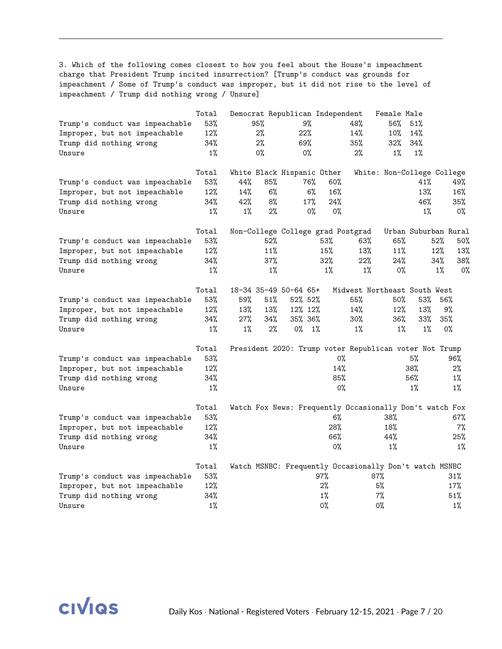3. Which of the following comes closest to how you feel about the House's impeachment charge that President Trump incited insurrection? [Trump's conduct was grounds for impeachment / Some of Trump's conduct was improper, but it did not rise to the level of impeachment / Trump did nothing wrong / Unsure]

|                                 | Total |                 |        | Democrat Republican Independent |       |       |                                                         | Female Male                |       |                      |
|---------------------------------|-------|-----------------|--------|---------------------------------|-------|-------|---------------------------------------------------------|----------------------------|-------|----------------------|
| Trump's conduct was impeachable | 53%   |                 | 95%    | 9%                              |       |       | 48%                                                     | 56%                        | 51%   |                      |
| Improper, but not impeachable   | 12%   |                 | 2%     | $22\%$                          |       |       | 14%                                                     | 10%                        | 14%   |                      |
| Trump did nothing wrong         | 34%   |                 | 2%     | 69%                             |       |       | 35%                                                     | 32%                        | 34%   |                      |
| Unsure                          | $1\%$ |                 | 0%     | $0\%$                           |       |       | $2\%$                                                   | $1\%$                      | $1\%$ |                      |
|                                 | Total |                 |        | White Black Hispanic Other      |       |       |                                                         | White: Non-College College |       |                      |
| Trump's conduct was impeachable | 53%   | 44%             | 85%    |                                 | 76%   | 60%   |                                                         |                            | 41%   | 49%                  |
| Improper, but not impeachable   | 12%   | 14 <sup>%</sup> | 6%     |                                 | 6%    | 16%   |                                                         |                            | 13%   | 16%                  |
| Trump did nothing wrong         | 34%   | 42%             | 8%     |                                 | 17%   | 24%   |                                                         |                            | 46%   | 35%                  |
| Unsure                          | $1\%$ | $1\%$           | 2%     |                                 | $0\%$ | $0\%$ |                                                         |                            | 1%    | $0\%$                |
|                                 | Total |                 |        |                                 |       |       | Non-College College grad Postgrad                       |                            |       | Urban Suburban Rural |
| Trump's conduct was impeachable | 53%   |                 | $52\%$ |                                 |       | 53%   | 63%                                                     | 65%                        |       | 52%<br>50%           |
| Improper, but not impeachable   | 12%   |                 | 11%    |                                 |       | 15%   | 13%                                                     | 11%                        |       | 12%<br>13%           |
| Trump did nothing wrong         | 34%   |                 | 37%    |                                 |       | 32%   | 22%                                                     | 24%                        |       | 34%<br>38%           |
| Unsure                          | $1\%$ |                 | $1\%$  |                                 |       | $1\%$ | $1\%$                                                   | $0\%$                      |       | 1%<br>0%             |
|                                 | Total |                 |        | 18-34 35-49 50-64 65+           |       |       | Midwest Northeast South West                            |                            |       |                      |
| Trump's conduct was impeachable | 53%   | 59%             | 51%    | 52% 52%                         |       |       | 55%                                                     | 50%                        | 53%   | 56%                  |
| Improper, but not impeachable   | 12%   | 13%             | 13%    | 12% 12%                         |       |       | 14%                                                     | 12%                        | 13%   | 9%                   |
| Trump did nothing wrong         | 34%   | 27%             | 34%    | 35% 36%                         |       |       | 30%                                                     | 36%                        | 33%   | 35%                  |
| Unsure                          | $1\%$ | $1\%$           | 2%     | $0\%$                           | 1%    |       | $1\%$                                                   | $1\%$                      | $1\%$ | $0\%$                |
|                                 | Total |                 |        |                                 |       |       | President 2020: Trump voter Republican voter Not Trump  |                            |       |                      |
| Trump's conduct was impeachable | 53%   |                 |        |                                 |       | $0\%$ |                                                         |                            | 5%    | 96%                  |
| Improper, but not impeachable   | 12%   |                 |        |                                 |       | 14%   |                                                         |                            | 38%   | 2%                   |
| Trump did nothing wrong         | 34%   |                 |        |                                 |       | 85%   |                                                         |                            | 56%   | $1\%$                |
| Unsure                          | $1\%$ |                 |        |                                 |       | $0\%$ |                                                         |                            | $1\%$ | $1\%$                |
|                                 | Total |                 |        |                                 |       |       | Watch Fox News: Frequently Occasionally Don't watch Fox |                            |       |                      |
| Trump's conduct was impeachable | 53%   |                 |        |                                 |       | 6%    |                                                         | 38%                        |       | 67%                  |
| Improper, but not impeachable   | 12%   |                 |        |                                 |       | 28%   |                                                         | 18%                        |       | 7%                   |
| Trump did nothing wrong         | 34%   |                 |        |                                 |       | 66%   |                                                         | 44%                        |       | 25%                  |
| Unsure                          | $1\%$ |                 |        |                                 |       | $0\%$ |                                                         | 1%                         |       | 1%                   |
|                                 | Total |                 |        |                                 |       |       | Watch MSNBC: Frequently Occasionally Don't watch MSNBC  |                            |       |                      |
| Trump's conduct was impeachable | 53%   |                 |        |                                 |       | 97%   |                                                         | 87%                        |       | 31%                  |
| Improper, but not impeachable   | 12%   |                 |        |                                 |       | $2\%$ |                                                         | 5%                         |       | 17%                  |
| Trump did nothing wrong         | 34%   |                 |        |                                 |       | $1\%$ |                                                         | $7\%$                      |       | 51%                  |
| Unsure                          | $1\%$ |                 |        |                                 |       | $0\%$ |                                                         | $0\%$                      |       | $1\%$                |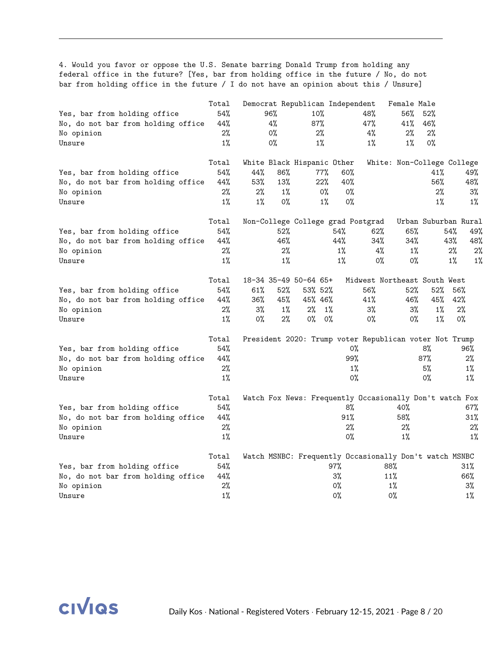4. Would you favor or oppose the U.S. Senate barring Donald Trump from holding any federal office in the future? [Yes, bar from holding office in the future / No, do not bar from holding office in the future / I do not have an opinion about this / Unsure]

|                                    | Total |       |       | Democrat Republican Independent |       |                                                         | Female Male                |                      |                |
|------------------------------------|-------|-------|-------|---------------------------------|-------|---------------------------------------------------------|----------------------------|----------------------|----------------|
| Yes, bar from holding office       | 54%   |       | 96%   | 10%                             |       | 48%                                                     | 56%                        | 52%                  |                |
| No, do not bar from holding office | 44%   |       | 4%    | 87%                             |       | 47%                                                     | 41%                        | 46%                  |                |
| No opinion                         | 2%    |       | 0%    | 2%                              |       | 4%                                                      | 2%                         | 2%                   |                |
| Unsure                             | $1\%$ |       | 0%    | $1\%$                           |       | $1\%$                                                   | $1\%$                      | 0%                   |                |
|                                    | Total |       |       | White Black Hispanic Other      |       |                                                         | White: Non-College College |                      |                |
| Yes, bar from holding office       | 54%   | 44%   | 86%   | 77%                             |       | 60%                                                     |                            | 41%                  | 49%            |
| No, do not bar from holding office | 44%   | 53%   | 13%   | 22%                             |       | 40%                                                     |                            | 56%                  | 48%            |
| No opinion                         | 2%    | 2%    | $1\%$ |                                 | 0%    | 0%                                                      |                            | 2%                   | 3%             |
| Unsure                             | $1\%$ | $1\%$ | 0%    |                                 | $1\%$ | $0\%$                                                   |                            | $1\%$                | 1%             |
|                                    | Total |       |       |                                 |       | Non-College College grad Postgrad                       |                            | Urban Suburban Rural |                |
| Yes, bar from holding office       | 54%   |       | 52%   |                                 | 54%   | 62%                                                     | 65%                        | 54%                  | 49%            |
| No, do not bar from holding office | 44%   |       | 46%   |                                 | 44%   | 34%                                                     | 34%                        | 43%                  | 48%            |
| No opinion                         | 2%    |       | 2%    |                                 | $1\%$ | 4%                                                      | $1\%$                      |                      | 2%<br>2%       |
| Unsure                             | $1\%$ |       | $1\%$ |                                 | $1\%$ | 0%                                                      | 0%                         |                      | $1\%$<br>$1\%$ |
|                                    | Total |       |       | 18-34 35-49 50-64 65+           |       | Midwest Northeast South West                            |                            |                      |                |
| Yes, bar from holding office       | 54%   | 61%   | 52%   | 53% 52%                         |       | 56%                                                     | 52%                        | 52%                  | 56%            |
| No, do not bar from holding office | 44%   | 36%   | 45%   | 45% 46%                         |       | 41%                                                     | 46%                        | 45%                  | 42%            |
| No opinion                         | 2%    | $3\%$ | $1\%$ | 2%                              | $1\%$ | 3%                                                      | $3\%$                      | $1\%$                | 2%             |
| Unsure                             | $1\%$ | 0%    | 2%    | $0\%$                           | 0%    | 0%                                                      | $0\%$                      | $1\%$                | $0\%$          |
|                                    | Total |       |       |                                 |       | President 2020: Trump voter Republican voter Not Trump  |                            |                      |                |
| Yes, bar from holding office       | 54%   |       |       |                                 |       | 0%                                                      |                            | 8%                   | 96%            |
| No, do not bar from holding office | 44%   |       |       |                                 |       | 99%                                                     |                            | 87%                  | $2\%$          |
| No opinion                         | 2%    |       |       |                                 |       | $1\%$                                                   |                            | 5%                   | $1\%$          |
| Unsure                             | $1\%$ |       |       |                                 |       | 0%                                                      |                            | 0%                   | $1\%$          |
|                                    | Total |       |       |                                 |       | Watch Fox News: Frequently Occasionally Don't watch Fox |                            |                      |                |
| Yes, bar from holding office       | 54%   |       |       |                                 |       | 8%                                                      | 40%                        |                      | 67%            |
| No, do not bar from holding office | 44%   |       |       |                                 |       | 91%                                                     | 58%                        |                      | 31%            |
| No opinion                         | 2%    |       |       |                                 |       | 2%                                                      | 2%                         |                      | 2%             |
| Unsure                             | $1\%$ |       |       |                                 |       | 0%                                                      | $1\%$                      |                      | $1\%$          |
|                                    | Total |       |       |                                 |       | Watch MSNBC: Frequently Occasionally Don't watch MSNBC  |                            |                      |                |
| Yes, bar from holding office       | 54%   |       |       |                                 | 97%   |                                                         | 88%                        |                      | 31%            |
| No, do not bar from holding office | 44%   |       |       |                                 | 3%    |                                                         | 11%                        |                      | 66%            |
| No opinion                         | 2%    |       |       |                                 | 0%    |                                                         | 1%                         |                      | 3%             |
| Unsure                             | $1\%$ |       |       |                                 | $0\%$ |                                                         | $0\%$                      |                      | $1\%$          |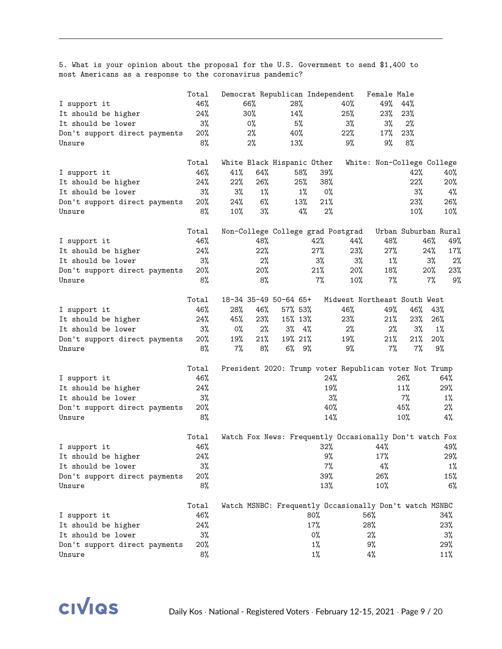5. What is your opinion about the proposal for the U.S. Government to send \$1,400 to most Americans as a response to the coronavirus pandemic?

|                               | Total |       |       | Democrat Republican Independent   |       |        |     | Female Male                                             |                      |        |        |
|-------------------------------|-------|-------|-------|-----------------------------------|-------|--------|-----|---------------------------------------------------------|----------------------|--------|--------|
| I support it                  | 46%   |       | 66%   | 28%                               |       |        | 40% | 49%                                                     | 44%                  |        |        |
| It should be higher           | 24%   |       | 30%   | 14%                               |       |        | 25% | 23%                                                     | 23%                  |        |        |
| It should be lower            | 3%    |       | $0\%$ | 5%                                |       |        | 3%  | 3%                                                      | 2%                   |        |        |
| Don't support direct payments | 20%   |       | 2%    | 40%                               |       |        | 22% | 17%                                                     | 23%                  |        |        |
| Unsure                        | 8%    |       | 2%    | 13%                               |       |        | 9%  | 9%                                                      | 8%                   |        |        |
|                               | Total |       |       | White Black Hispanic Other        |       |        |     | White: Non-College College                              |                      |        |        |
| I support it                  | 46%   | 41%   | 64%   |                                   | 58%   | $39\%$ |     |                                                         | 42%                  |        | 40%    |
| It should be higher           | 24%   | 22%   | 26%   |                                   | 25%   | 38%    |     |                                                         | 22%                  |        | $20\%$ |
| It should be lower            | 3%    | $3\%$ | $1\%$ |                                   | $1\%$ | 0%     |     |                                                         | 3%                   |        | 4%     |
| Don't support direct payments | 20%   | 24%   | 6%    |                                   | 13%   | 21%    |     |                                                         | 23%                  |        | 26%    |
| Unsure                        | 8%    | 10%   | 3%    |                                   | 4%    | 2%     |     |                                                         | 10%                  |        | 10%    |
|                               | Total |       |       | Non-College College grad Postgrad |       |        |     |                                                         | Urban Suburban Rural |        |        |
| I support it                  | 46%   |       | 48%   |                                   |       | 42%    | 44% | 48%                                                     |                      | 46%    | 49%    |
| It should be higher           | 24%   |       | 22%   |                                   |       | 27%    | 23% | 27%                                                     |                      | 24%    | 17%    |
| It should be lower            | 3%    |       | 2%    |                                   |       | 3%     | 3%  | $1\%$                                                   |                      | 3%     | 2%     |
| Don't support direct payments | 20%   |       | 20%   |                                   |       | 21%    | 20% | 18%                                                     |                      | $20\%$ | 23%    |
| Unsure                        | 8%    |       | 8%    |                                   |       | 7%     | 10% | 7%                                                      |                      | 7%     | 9%     |
|                               | Total |       |       | 18-34 35-49 50-64 65+             |       |        |     | Midwest Northeast South West                            |                      |        |        |
| I support it                  | 46%   | 28%   | 46%   | 57% 53%                           |       |        | 46% | 49%                                                     | 46%                  | 43%    |        |
| It should be higher           | 24%   | 45%   | 23%   | 15% 13%                           |       |        | 23% | 21%                                                     | 23%                  | 26%    |        |
| It should be lower            | 3%    | 0%    | 2%    | $3\%$ 4%                          |       |        | 2%  | 2%                                                      | 3%                   |        | $1\%$  |
| Don't support direct payments | 20%   | 19%   | 21%   | 19% 21%                           |       |        | 19% | 21%                                                     | 21%                  |        | 20%    |
| Unsure                        | 8%    | 7%    | 8%    | $6\%$ 9%                          |       |        | 9%  | $7\%$                                                   | $7\%$                |        | 9%     |
|                               | Total |       |       |                                   |       |        |     | President 2020: Trump voter Republican voter Not Trump  |                      |        |        |
| I support it                  | 46%   |       |       |                                   |       | 24%    |     |                                                         | 26%                  |        | 64%    |
| It should be higher           | 24%   |       |       |                                   |       | 19%    |     |                                                         | 11%                  |        | 29%    |
| It should be lower            | 3%    |       |       |                                   |       | 3%     |     |                                                         | 7%                   |        | $1\%$  |
| Don't support direct payments | 20%   |       |       |                                   |       | 40%    |     |                                                         | 45%                  |        | 2%     |
| Unsure                        | 8%    |       |       |                                   |       | 14%    |     |                                                         | 10%                  |        | 4%     |
|                               | Total |       |       |                                   |       |        |     | Watch Fox News: Frequently Occasionally Don't watch Fox |                      |        |        |
| I support it                  | 46%   |       |       |                                   |       | $32\%$ |     | 44%                                                     |                      |        | 49%    |
| It should be higher           | 24%   |       |       |                                   |       | 9%     |     | 17%                                                     |                      |        | 29%    |
| It should be lower            | $3\%$ |       |       |                                   |       | $7\%$  |     | 4%                                                      |                      |        | $1\%$  |
| Don't support direct payments | 20%   |       |       |                                   |       | 39%    |     | 26%                                                     |                      |        | 15%    |
| Unsure                        | 8%    |       |       |                                   |       | 13%    |     | 10%                                                     |                      |        | 6%     |
|                               | Total |       |       |                                   |       |        |     | Watch MSNBC: Frequently Occasionally Don't watch MSNBC  |                      |        |        |
| I support it                  | 46%   |       |       |                                   |       | 80%    |     | 56%                                                     |                      |        | 34%    |
| It should be higher           | 24%   |       |       |                                   |       | 17%    |     | 28%                                                     |                      |        | 23%    |
| It should be lower            | 3%    |       |       |                                   |       | 0%     |     | 2%                                                      |                      |        | 3%     |
| Don't support direct payments | 20%   |       |       |                                   |       | $1\%$  |     | 9%                                                      |                      |        | 29%    |
| Unsure                        | 8%    |       |       |                                   |       | $1\%$  |     | $4\%$                                                   |                      |        | 11%    |

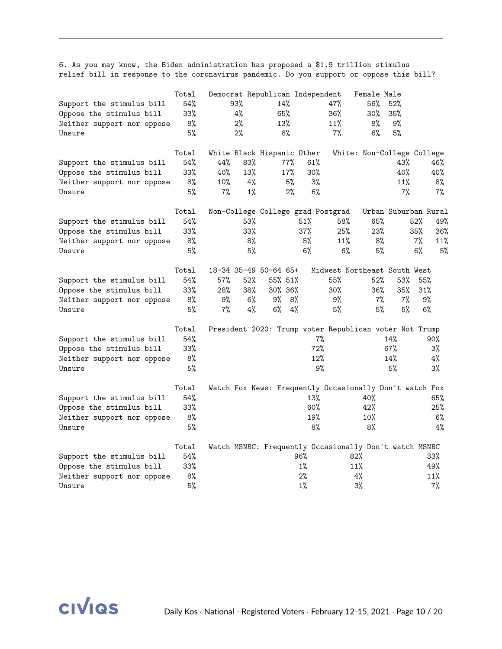6. As you may know, the Biden administration has proposed a \$1.9 trillion stimulus relief bill in response to the coronavirus pandemic. Do you support or oppose this bill?

|                            | Total  |     |       | Democrat Republican Independent                         |       |       |       | Female Male                  |                      |     |       |
|----------------------------|--------|-----|-------|---------------------------------------------------------|-------|-------|-------|------------------------------|----------------------|-----|-------|
| Support the stimulus bill  | 54%    |     | 93%   | 14%                                                     |       |       | 47%   | 56%                          | 52%                  |     |       |
| Oppose the stimulus bill   | 33%    |     | 4%    | 65%                                                     |       |       | 36%   | $30\%$                       | 35%                  |     |       |
| Neither support nor oppose | 8%     |     | $2\%$ | 13%                                                     |       |       | 11%   | 8%                           | 9%                   |     |       |
| Unsure                     | 5%     |     | $2\%$ | 8%                                                      |       |       | $7\%$ | 6%                           | 5%                   |     |       |
|                            | Total  |     |       | White Black Hispanic Other                              |       |       |       | White: Non-College College   |                      |     |       |
| Support the stimulus bill  | 54%    | 44% | 83%   |                                                         | 77%   | 61%   |       |                              | 43%                  |     | 46%   |
| Oppose the stimulus bill   | 33%    | 40% | 13%   |                                                         | 17%   | 30%   |       |                              | 40%                  |     | 40%   |
| Neither support nor oppose | 8%     | 10% | 4%    |                                                         | 5%    | $3\%$ |       |                              | 11%                  |     | 8%    |
| Unsure                     | 5%     | 7%  | $1\%$ |                                                         | 2%    | 6%    |       |                              | $7\%$                |     | 7%    |
|                            | Total  |     |       | Non-College College grad Postgrad                       |       |       |       |                              | Urban Suburban Rural |     |       |
| Support the stimulus bill  | 54%    |     | 53%   |                                                         | 51%   |       | 58%   | 65%                          |                      | 52% | 49%   |
| Oppose the stimulus bill   | 33%    |     | 33%   |                                                         | 37%   |       | 25%   | 23%                          |                      | 35% | 36%   |
| Neither support nor oppose | 8%     |     | 8%    |                                                         |       | 5%    | 11%   | 8%                           |                      | 7%  | 11%   |
| Unsure                     | 5%     |     | 5%    |                                                         |       | 6%    | 6%    | 5%                           |                      | 6%  | 5%    |
|                            | Total  |     |       | 18-34 35-49 50-64 65+                                   |       |       |       | Midwest Northeast South West |                      |     |       |
| Support the stimulus bill  | 54%    | 57% | 52%   | 55% 51%                                                 |       |       | 55%   | 52%                          | 53%                  | 55% |       |
| Oppose the stimulus bill   | 33%    | 28% | 38%   | 30% 36%                                                 |       |       | 30%   | 36%                          | 35%                  | 31% |       |
| Neither support nor oppose | 8%     | 9%  | 6%    | 9%                                                      | 8%    |       | 9%    | $7\%$                        | 7%                   |     | 9%    |
| Unsure                     | 5%     | 7%  | 4%    | 6%                                                      | 4%    |       | 5%    | 5%                           | 5%                   |     | 6%    |
|                            | Total  |     |       | President 2020: Trump voter Republican voter Not Trump  |       |       |       |                              |                      |     |       |
| Support the stimulus bill  | 54%    |     |       |                                                         |       | 7%    |       |                              | 14%                  |     | 90%   |
| Oppose the stimulus bill   | $33\%$ |     |       |                                                         |       | 72%   |       |                              | $67\%$               |     | $3\%$ |
| Neither support nor oppose | 8%     |     |       |                                                         |       | 12%   |       |                              | 14%                  |     | 4%    |
| Unsure                     | 5%     |     |       |                                                         |       | 9%    |       |                              | 5%                   |     | 3%    |
|                            | Total  |     |       | Watch Fox News: Frequently Occasionally Don't watch Fox |       |       |       |                              |                      |     |       |
| Support the stimulus bill  | 54%    |     |       |                                                         |       | 13%   |       | 40%                          |                      |     | 65%   |
| Oppose the stimulus bill   | 33%    |     |       |                                                         |       | 60%   |       | 42%                          |                      |     | 25%   |
| Neither support nor oppose | 8%     |     |       |                                                         |       | 19%   |       | 10%                          |                      |     | 6%    |
| Unsure                     | 5%     |     |       |                                                         |       | 8%    |       | 8%                           |                      |     | 4%    |
|                            | Total  |     |       | Watch MSNBC: Frequently Occasionally Don't watch MSNBC  |       |       |       |                              |                      |     |       |
| Support the stimulus bill  | 54%    |     |       |                                                         | 96%   |       | 82%   |                              |                      |     | 33%   |
| Oppose the stimulus bill   | 33%    |     |       |                                                         | $1\%$ |       | 11%   |                              |                      |     | 49%   |
| Neither support nor oppose | 8%     |     |       |                                                         | 2%    |       | 4%    |                              |                      |     | 11%   |
| Unsure                     | 5%     |     |       |                                                         | $1\%$ |       | 3%    |                              |                      |     | 7%    |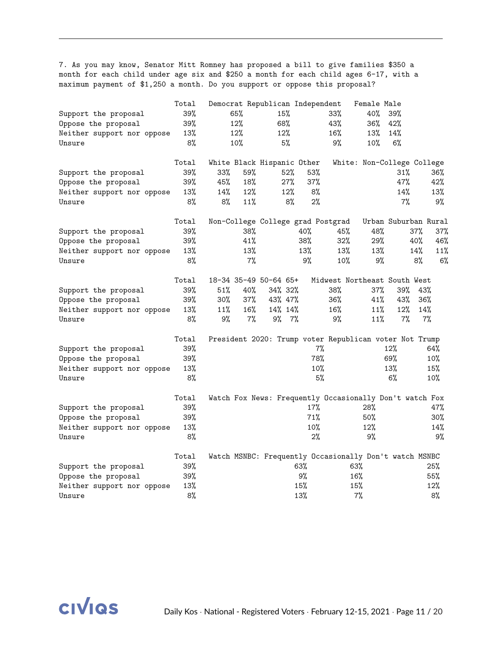7. As you may know, Senator Mitt Romney has proposed a bill to give families \$350 a month for each child under age six and \$250 a month for each child ages 6-17, with a maximum payment of \$1,250 a month. Do you support or oppose this proposal?

|                            | Total |     |        | Democrat Republican Independent   |       |       |                                                         | Female Male                |                      |     |     |
|----------------------------|-------|-----|--------|-----------------------------------|-------|-------|---------------------------------------------------------|----------------------------|----------------------|-----|-----|
| Support the proposal       | 39%   |     | 65%    | 15%                               |       |       | 33%                                                     | 40%                        | 39%                  |     |     |
| Oppose the proposal        | 39%   |     | 12%    | 68%                               |       |       | 43%                                                     | 36%                        | 42%                  |     |     |
| Neither support nor oppose | 13%   |     | 12%    | 12%                               |       |       | 16%                                                     | 13%                        | 14%                  |     |     |
| Unsure                     | 8%    |     | 10%    |                                   | 5%    |       | 9%                                                      | $10\%$                     | 6%                   |     |     |
|                            | Total |     |        | White Black Hispanic Other        |       |       |                                                         | White: Non-College College |                      |     |     |
| Support the proposal       | 39%   | 33% | 59%    |                                   | 52%   | 53%   |                                                         |                            | 31%                  |     | 36% |
| Oppose the proposal        | 39%   | 45% | 18%    |                                   | 27%   | 37%   |                                                         |                            | 47%                  |     | 42% |
| Neither support nor oppose | 13%   | 14% | 12%    |                                   | 12%   | 8%    |                                                         |                            | 14%                  |     | 13% |
| Unsure                     | 8%    | 8%  | 11%    |                                   | 8%    | 2%    |                                                         |                            | 7%                   |     | 9%  |
|                            | Total |     |        | Non-College College grad Postgrad |       |       |                                                         |                            | Urban Suburban Rural |     |     |
| Support the proposal       | 39%   |     | 38%    |                                   |       | 40%   | 45%                                                     | 48%                        |                      | 37% | 37% |
| Oppose the proposal        | 39%   |     | 41%    |                                   |       | 38%   | 32%                                                     | 29%                        |                      | 40% | 46% |
| Neither support nor oppose | 13%   |     | 13%    |                                   |       | 13%   | 13%                                                     | 13%                        |                      | 14% | 11% |
| Unsure                     | 8%    |     | 7%     |                                   |       | 9%    | 10%                                                     | 9%                         |                      | 8%  | 6%  |
|                            | Total |     |        | 18-34 35-49 50-64 65+             |       |       | Midwest Northeast South West                            |                            |                      |     |     |
| Support the proposal       | 39%   | 51% | 40%    | 34% 32%                           |       |       | 38%                                                     | 37%                        | 39%                  | 43% |     |
| Oppose the proposal        | 39%   | 30% | 37%    | 43% 47%                           |       |       | 36%                                                     | 41%                        | 43%                  | 36% |     |
| Neither support nor oppose | 13%   | 11% | $16\%$ | 14% 14%                           |       |       | 16%                                                     | 11%                        | 12%                  | 14% |     |
| Unsure                     | 8%    | 9%  | 7%     | 9%                                | $7\%$ |       | 9%                                                      | 11%                        | 7%                   |     | 7%  |
|                            | Total |     |        |                                   |       |       | President 2020: Trump voter Republican voter Not Trump  |                            |                      |     |     |
| Support the proposal       | 39%   |     |        |                                   |       | $7\%$ |                                                         |                            | 12%                  |     | 64% |
| Oppose the proposal        | 39%   |     |        |                                   |       | 78%   |                                                         |                            | 69%                  |     | 10% |
| Neither support nor oppose | 13%   |     |        |                                   |       | 10%   |                                                         |                            | 13%                  |     | 15% |
| Unsure                     | 8%    |     |        |                                   |       | 5%    |                                                         |                            | 6%                   |     | 10% |
|                            | Total |     |        |                                   |       |       | Watch Fox News: Frequently Occasionally Don't watch Fox |                            |                      |     |     |
| Support the proposal       | 39%   |     |        |                                   |       | 17%   |                                                         | 28%                        |                      |     | 47% |
| Oppose the proposal        | 39%   |     |        |                                   |       | 71%   |                                                         | 50%                        |                      |     | 30% |
| Neither support nor oppose | 13%   |     |        |                                   |       | 10%   |                                                         | 12%                        |                      |     | 14% |
| Unsure                     | 8%    |     |        |                                   |       | 2%    |                                                         | 9%                         |                      |     | 9%  |
|                            | Total |     |        |                                   |       |       | Watch MSNBC: Frequently Occasionally Don't watch MSNBC  |                            |                      |     |     |
| Support the proposal       | 39%   |     |        |                                   |       | 63%   |                                                         | 63%                        |                      |     | 25% |
| Oppose the proposal        | 39%   |     |        |                                   |       | 9%    |                                                         | 16%                        |                      |     | 55% |
| Neither support nor oppose | 13%   |     |        |                                   |       | 15%   |                                                         | 15%                        |                      |     | 12% |
| Unsure                     | 8%    |     |        |                                   |       | 13%   |                                                         | 7%                         |                      |     | 8%  |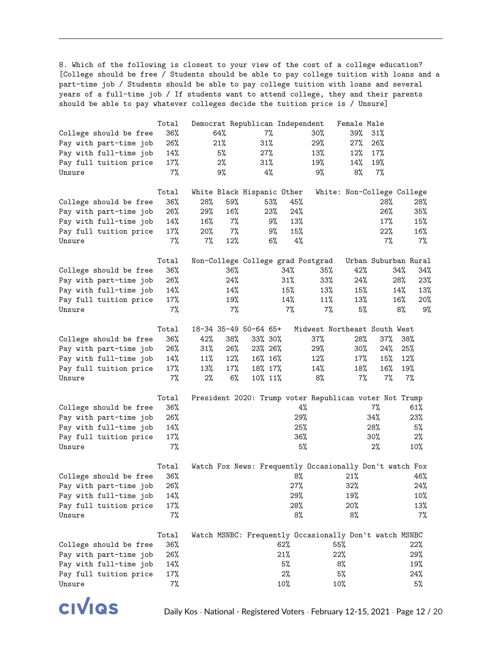8. Which of the following is closest to your view of the cost of a college education? [College should be free / Students should be able to pay college tuition with loans and a part-time job / Students should be able to pay college tuition with loans and several years of a full-time job / If students want to attend college, they and their parents should be able to pay whatever colleges decide the tuition price is / Unsure]

|                        | Total |       |       | Democrat Republican Independent |        |                                                         | Female Male                |     |                      |    |
|------------------------|-------|-------|-------|---------------------------------|--------|---------------------------------------------------------|----------------------------|-----|----------------------|----|
| College should be free | 36%   |       | 64%   | $7\%$                           |        | $30\%$                                                  | 39%                        | 31% |                      |    |
| Pay with part-time job | 26%   |       | 21%   | 31%                             |        | 29%                                                     | 27%                        | 26% |                      |    |
| Pay with full-time job | 14%   |       | 5%    | 27%                             |        | 13%                                                     | 12%                        | 17% |                      |    |
| Pay full tuition price | 17%   |       | 2%    | $31\%$                          |        | 19%                                                     | 14%                        | 19% |                      |    |
| Unsure                 | $7\%$ |       | 9%    | $4\%$                           |        | 9%                                                      | 8%                         | 7%  |                      |    |
|                        |       |       |       |                                 |        |                                                         |                            |     |                      |    |
|                        | Total |       |       | White Black Hispanic Other      |        |                                                         | White: Non-College College |     |                      |    |
| College should be free | 36%   | 28%   | 59%   | 53%                             | 45%    |                                                         |                            | 28% | 28%                  |    |
| Pay with part-time job | 26%   | 29%   | 16%   | 23%                             | 24%    |                                                         |                            | 26% | 35%                  |    |
| Pay with full-time job | 14%   | 16%   | $7\%$ | 9%                              | 13%    |                                                         |                            | 17% | 15%                  |    |
| Pay full tuition price | 17%   | 20%   | $7\%$ | 9%                              | 15%    |                                                         |                            | 22% | 16%                  |    |
| Unsure                 | 7%    | $7\%$ | 12%   | 6%                              |        | 4%                                                      |                            | 7%  | 7%                   |    |
|                        |       |       |       |                                 |        |                                                         |                            |     |                      |    |
|                        |       |       |       |                                 |        |                                                         |                            |     | Urban Suburban Rural |    |
|                        | Total |       |       |                                 |        | Non-College College grad Postgrad                       |                            |     |                      |    |
| College should be free | 36%   |       | 36%   |                                 | 34%    | 35%                                                     | 42%                        |     | 34%<br>34%           |    |
| Pay with part-time job | 26%   |       | 24%   |                                 | 31%    | $33\%$                                                  | 24%                        |     | 28%<br>23%           |    |
| Pay with full-time job | 14%   |       | 14%   |                                 | 15%    | 13%                                                     | 15%                        |     | 13%<br>14%           |    |
| Pay full tuition price | 17%   |       | 19%   |                                 | 14%    | 11%                                                     | 13%                        |     | 16%<br>20%           |    |
| Unsure                 | $7\%$ |       | $7\%$ |                                 | $7\%$  | 7%                                                      | 5%                         |     | 8%                   | 9% |
|                        |       |       |       |                                 |        |                                                         |                            |     |                      |    |
|                        | Total |       |       | 18-34 35-49 50-64 65+           |        | Midwest Northeast South West                            |                            |     |                      |    |
| College should be free | 36%   | 42%   | 38%   | 33% 30%                         |        | 37%                                                     | 28%                        | 37% | 38%                  |    |
| Pay with part-time job | 26%   | 31%   | 26%   | 23% 26%                         |        | 29%                                                     | $30\%$                     | 24% | 25%                  |    |
| Pay with full-time job | 14%   | 11%   | 12%   | 16% 16%                         |        | 12%                                                     | 17%                        | 15% | 12%                  |    |
| Pay full tuition price | 17%   | 13%   | 17%   | 18% 17%                         |        | 14%                                                     | 18%                        | 16% | 19%                  |    |
| Unsure                 | 7%    | 2%    | 6%    | 10% 11%                         |        | 8%                                                      | 7%                         | 7%  | $7\%$                |    |
|                        |       |       |       |                                 |        |                                                         |                            |     |                      |    |
|                        | Total |       |       |                                 |        | President 2020: Trump voter Republican voter Not Trump  |                            |     |                      |    |
| College should be free | 36%   |       |       |                                 |        | 4%                                                      |                            | 7%  | 61%                  |    |
| Pay with part-time job | 26%   |       |       |                                 |        | 29%                                                     |                            | 34% | 23%                  |    |
| Pay with full-time job | 14%   |       |       |                                 |        | 25%                                                     |                            | 28% | 5%                   |    |
| Pay full tuition price | 17%   |       |       |                                 |        | 36%                                                     |                            | 30% | 2%                   |    |
| Unsure                 | $7\%$ |       |       |                                 |        | 5%                                                      |                            | 2%  | 10%                  |    |
|                        |       |       |       |                                 |        |                                                         |                            |     |                      |    |
|                        | Total |       |       |                                 |        | Watch Fox News: Frequently Occasionally Don't watch Fox |                            |     |                      |    |
| College should be free | 36%   |       |       |                                 |        | 8%                                                      | 21%                        |     | 46%                  |    |
| Pay with part-time job | 26%   |       |       |                                 | 27%    |                                                         | 32%                        |     | 24%                  |    |
| Pay with full-time job |       |       |       |                                 | 29%    |                                                         | 19%                        |     | 10%                  |    |
|                        | 14%   |       |       |                                 | 28%    |                                                         |                            |     |                      |    |
| Pay full tuition price | 17%   |       |       |                                 |        |                                                         | 20%                        |     | 13%                  |    |
| Unsure                 | $7\%$ |       |       |                                 |        | 8%                                                      | 8%                         |     | 7%                   |    |
|                        |       |       |       |                                 |        |                                                         |                            |     |                      |    |
|                        | Total |       |       |                                 |        | Watch MSNBC: Frequently Occasionally Don't watch MSNBC  |                            |     |                      |    |
| College should be free | 36%   |       |       |                                 | $62\%$ |                                                         | 55%                        |     | 22%                  |    |
| Pay with part-time job | 26%   |       |       |                                 | 21%    |                                                         | 22%                        |     | 29%                  |    |
| Pay with full-time job | 14%   |       |       |                                 | 5%     |                                                         | 8%                         |     | 19%                  |    |
| Pay full tuition price | 17%   |       |       |                                 | 2%     |                                                         | 5%                         |     | 24%                  |    |
| Unsure                 | $7\%$ |       |       |                                 | 10%    |                                                         | 10%                        |     | 5%                   |    |

**CIVIQS**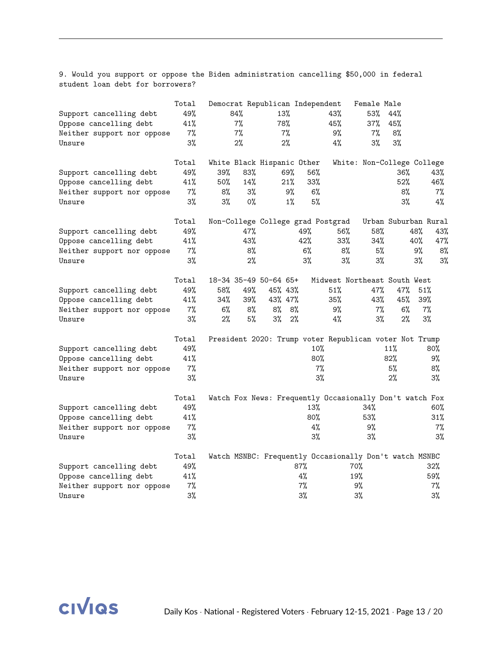9. Would you support or oppose the Biden administration cancelling \$50,000 in federal student loan debt for borrowers?

|                            | Total |       |     | Democrat Republican Independent |       |        |                                                         | Female Male                |                      |     |       |
|----------------------------|-------|-------|-----|---------------------------------|-------|--------|---------------------------------------------------------|----------------------------|----------------------|-----|-------|
| Support cancelling debt    | 49%   |       | 84% | 13%                             |       |        | 43%                                                     | 53%                        | 44%                  |     |       |
| Oppose cancelling debt     | 41%   |       | 7%  | 78%                             |       |        | 45%                                                     | 37%                        | 45%                  |     |       |
| Neither support nor oppose | $7\%$ |       | 7%  |                                 | 7%    |        | 9%                                                      | 7%                         | 8%                   |     |       |
| Unsure                     | 3%    |       | 2%  |                                 | 2%    |        | 4%                                                      | $3\%$                      | 3%                   |     |       |
|                            | Total |       |     | White Black Hispanic Other      |       |        |                                                         | White: Non-College College |                      |     |       |
| Support cancelling debt    | 49%   | 39%   | 83% |                                 | 69%   | 56%    |                                                         |                            | 36%                  |     | 43%   |
| Oppose cancelling debt     | 41%   | 50%   | 14% |                                 | 21%   | 33%    |                                                         |                            | 52%                  |     | 46%   |
| Neither support nor oppose | 7%    | 8%    | 3%  |                                 | 9%    | 6%     |                                                         |                            | 8%                   |     | $7\%$ |
| Unsure                     | 3%    | $3\%$ | 0%  |                                 | $1\%$ | 5%     |                                                         |                            | $3\%$                |     | 4%    |
|                            | Total |       |     |                                 |       |        | Non-College College grad Postgrad                       |                            | Urban Suburban Rural |     |       |
| Support cancelling debt    | 49%   |       | 47% |                                 |       | 49%    | 56%                                                     | 58%                        |                      | 48% | 43%   |
| Oppose cancelling debt     | 41%   |       | 43% |                                 |       | 42%    | 33%                                                     | 34%                        |                      | 40% | 47%   |
| Neither support nor oppose | 7%    |       | 8%  |                                 |       | $6\%$  | 8%                                                      | 5%                         |                      | 9%  | 8%    |
| Unsure                     | $3\%$ |       | 2%  |                                 |       | $3\%$  | 3%                                                      | 3%                         |                      | 3%  | 3%    |
|                            | Total |       |     | 18-34 35-49 50-64 65+           |       |        | Midwest Northeast South West                            |                            |                      |     |       |
| Support cancelling debt    | 49%   | 58%   | 49% | 45% 43%                         |       |        | 51%                                                     | 47%                        | 47%                  | 51% |       |
| Oppose cancelling debt     | 41%   | 34%   | 39% | 43% 47%                         |       |        | 35%                                                     | 43%                        | 45%                  | 39% |       |
| Neither support nor oppose | 7%    | 6%    | 8%  | 8%                              | 8%    |        | 9%                                                      | $7\%$                      | 6%                   |     | 7%    |
| Unsure                     | 3%    | $2\%$ | 5%  | $3\%$                           | 2%    |        | 4%                                                      | 3%                         | 2%                   |     | 3%    |
|                            | Total |       |     |                                 |       |        | President 2020: Trump voter Republican voter Not Trump  |                            |                      |     |       |
| Support cancelling debt    | 49%   |       |     |                                 |       | 10%    |                                                         |                            | 11%                  |     | 80%   |
| Oppose cancelling debt     | 41%   |       |     |                                 |       | 80%    |                                                         |                            | 82%                  |     | 9%    |
| Neither support nor oppose | $7\%$ |       |     |                                 |       | 7%     |                                                         |                            | 5%                   |     | 8%    |
| Unsure                     | 3%    |       |     |                                 |       | $3\%$  |                                                         |                            | 2%                   |     | $3\%$ |
|                            | Total |       |     |                                 |       |        | Watch Fox News: Frequently Occasionally Don't watch Fox |                            |                      |     |       |
| Support cancelling debt    | 49%   |       |     |                                 |       | 13%    |                                                         | 34%                        |                      |     | 60%   |
| Oppose cancelling debt     | 41%   |       |     |                                 |       | $80\%$ |                                                         | 53%                        |                      |     | 31%   |
| Neither support nor oppose | $7\%$ |       |     |                                 |       | 4%     |                                                         | 9%                         |                      |     | $7\%$ |
| Unsure                     | 3%    |       |     |                                 |       | $3\%$  |                                                         | $3\%$                      |                      |     | 3%    |
|                            | Total |       |     |                                 |       |        | Watch MSNBC: Frequently Occasionally Don't watch MSNBC  |                            |                      |     |       |
| Support cancelling debt    | 49%   |       |     |                                 |       | 87%    |                                                         | 70%                        |                      |     | 32%   |
| Oppose cancelling debt     | 41%   |       |     |                                 |       | 4%     |                                                         | 19%                        |                      |     | 59%   |
| Neither support nor oppose | $7\%$ |       |     |                                 |       | 7%     |                                                         | 9%                         |                      |     | $7\%$ |
| Unsure                     | 3%    |       |     |                                 |       | $3\%$  |                                                         | 3%                         |                      |     | $3\%$ |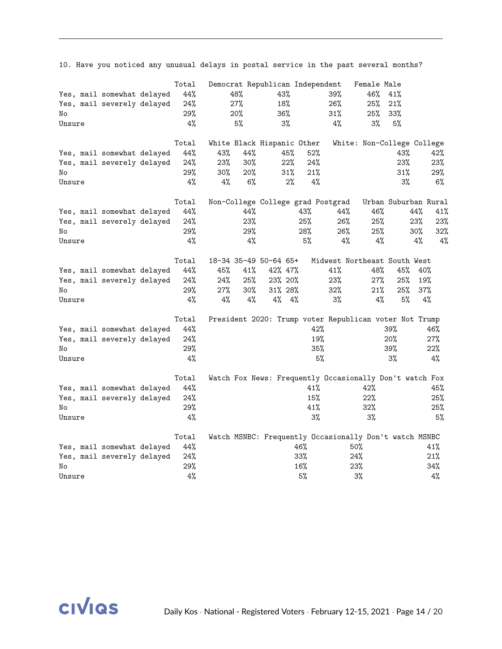|        | $10.$ have you hoof our $mj$ | $\frac{1}{2}$ |       |     | $50001$ $1000$ $100$                                    |     |     |     |                              |                      |     |     |
|--------|------------------------------|---------------|-------|-----|---------------------------------------------------------|-----|-----|-----|------------------------------|----------------------|-----|-----|
|        |                              | Total         |       |     | Democrat Republican Independent                         |     |     |     | Female Male                  |                      |     |     |
|        | Yes, mail somewhat delayed   | 44%           |       | 48% | 43%                                                     |     |     | 39% | 46%                          | 41%                  |     |     |
|        | Yes, mail severely delayed   | 24%           |       | 27% | 18%                                                     |     |     | 26% | 25%                          | 21%                  |     |     |
| No     |                              | 29%           |       | 20% | 36%                                                     |     |     | 31% | 25%                          | 33%                  |     |     |
| Unsure |                              | 4%            |       | 5%  | 3%                                                      |     |     | 4%  | 3%                           | 5%                   |     |     |
|        |                              | Total         |       |     | White Black Hispanic Other                              |     |     |     | White: Non-College College   |                      |     |     |
|        | Yes, mail somewhat delayed   | 44%           | 43%   | 44% |                                                         | 45% | 52% |     |                              | 43%                  |     | 42% |
|        | Yes, mail severely delayed   | 24%           | 23%   | 30% |                                                         | 22% | 24% |     |                              | 23%                  |     | 23% |
| No     |                              | 29%           | 30%   | 20% |                                                         | 31% | 21% |     |                              | 31%                  |     | 29% |
| Unsure |                              | 4%            | 4%    | 6%  |                                                         | 2%  | 4%  |     |                              | $3\%$                |     | 6%  |
|        |                              | Total         |       |     | Non-College College grad Postgrad                       |     |     |     |                              | Urban Suburban Rural |     |     |
|        | Yes, mail somewhat delayed   | 44%           |       | 44% |                                                         |     | 43% | 44% | 46%                          |                      | 44% | 41% |
|        | Yes, mail severely delayed   | 24%           |       | 23% |                                                         |     | 25% | 26% | 25%                          |                      | 23% | 23% |
| No     |                              | 29%           |       | 29% |                                                         |     | 28% | 26% | 25%                          |                      | 30% | 32% |
| Unsure |                              | 4%            |       | 4%  |                                                         |     | 5%  | 4%  | 4%                           |                      | 4%  | 4%  |
|        |                              | Total         |       |     | 18-34 35-49 50-64 65+                                   |     |     |     | Midwest Northeast South West |                      |     |     |
|        | Yes, mail somewhat delayed   | 44%           | 45%   | 41% | 42% 47%                                                 |     |     | 41% | 48%                          | 45%                  | 40% |     |
|        | Yes, mail severely delayed   | 24%           | 24%   | 25% | 23% 20%                                                 |     |     | 23% | 27%                          | 25%                  | 19% |     |
| No     |                              | 29%           | 27%   | 30% | 31% 28%                                                 |     |     | 32% | 21%                          | 25%                  | 37% |     |
| Unsure |                              | 4%            | $4\%$ | 4%  | 4%                                                      | 4%  |     | 3%  | 4%                           | 5%                   |     | 4%  |
|        |                              | Total         |       |     | President 2020: Trump voter Republican voter Not Trump  |     |     |     |                              |                      |     |     |
|        | Yes, mail somewhat delayed   | 44%           |       |     |                                                         |     | 42% |     |                              | 39%                  |     | 46% |
|        | Yes, mail severely delayed   | 24%           |       |     |                                                         |     | 19% |     |                              | 20%                  |     | 27% |
| No     |                              | 29%           |       |     |                                                         |     | 35% |     |                              | 39%                  |     | 22% |
| Unsure |                              | 4%            |       |     |                                                         |     | 5%  |     |                              | 3%                   |     | 4%  |
|        |                              | Total         |       |     | Watch Fox News: Frequently Occasionally Don't watch Fox |     |     |     |                              |                      |     |     |
|        | Yes, mail somewhat delayed   | 44%           |       |     |                                                         |     | 41% |     | 42%                          |                      |     | 45% |
|        | Yes, mail severely delayed   | 24%           |       |     |                                                         |     | 15% |     | 22%                          |                      |     | 25% |
| No     |                              | 29%           |       |     |                                                         |     | 41% |     | 32%                          |                      |     | 25% |
| Unsure |                              | 4%            |       |     |                                                         |     | 3%  |     | 3%                           |                      |     | 5%  |
|        |                              | Total         |       |     | Watch MSNBC: Frequently Occasionally Don't watch MSNBC  |     |     |     |                              |                      |     |     |
|        | Yes, mail somewhat delayed   | 44%           |       |     |                                                         |     | 46% |     | $50\%$                       |                      |     | 41% |
|        | Yes, mail severely delayed   | 24%           |       |     |                                                         |     | 33% |     | 24%                          |                      |     | 21% |
| No     |                              | 29%           |       |     |                                                         |     | 16% |     | 23%                          |                      |     | 34% |
| Unsure |                              | 4%            |       |     |                                                         |     | 5%  |     | 3%                           |                      |     | 4%  |



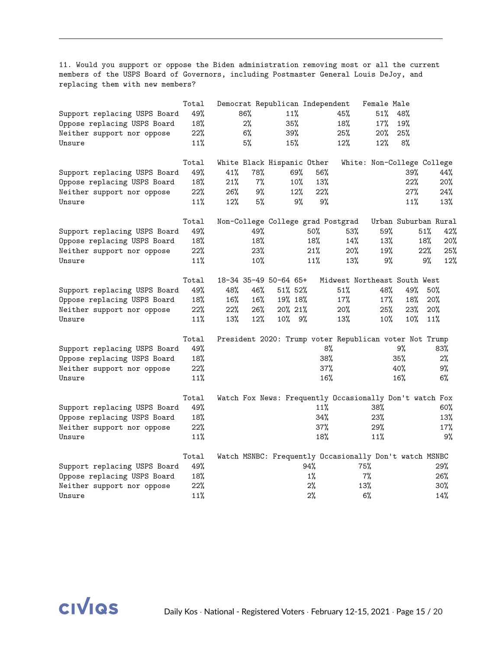11. Would you support or oppose the Biden administration removing most or all the current members of the USPS Board of Governors, including Postmaster General Louis DeJoy, and replacing them with new members?

|                              | Total |     |       | Democrat Republican Independent |       |                                                         | Female Male |        |                            |
|------------------------------|-------|-----|-------|---------------------------------|-------|---------------------------------------------------------|-------------|--------|----------------------------|
| Support replacing USPS Board | 49%   |     | 86%   | 11%                             |       | 45%                                                     | 51%         | 48%    |                            |
| Oppose replacing USPS Board  | 18%   |     | $2\%$ | 35%                             |       | 18%                                                     | 17%         | 19%    |                            |
| Neither support nor oppose   | 22%   |     | 6%    | 39%                             |       | 25%                                                     | 20%         | 25%    |                            |
| Unsure                       | 11%   |     | 5%    | 15%                             |       | 12%                                                     | 12%         | 8%     |                            |
|                              | Total |     |       | White Black Hispanic Other      |       |                                                         |             |        | White: Non-College College |
| Support replacing USPS Board | 49%   | 41% | 78%   | 69%                             | 56%   |                                                         |             | 39%    | 44%                        |
| Oppose replacing USPS Board  | 18%   | 21% | $7\%$ | 10%                             | 13%   |                                                         |             | 22%    | 20%                        |
| Neither support nor oppose   | 22%   | 26% | 9%    | 12%                             | 22%   |                                                         |             | 27%    | 24%                        |
| Unsure                       | 11%   | 12% | 5%    | 9%                              |       | 9%                                                      |             | 11%    | 13%                        |
|                              | Total |     |       |                                 |       | Non-College College grad Postgrad                       |             |        | Urban Suburban Rural       |
| Support replacing USPS Board | 49%   |     | 49%   |                                 | 50%   | 53%                                                     | 59%         |        | 51%<br>42%                 |
| Oppose replacing USPS Board  | 18%   |     | 18%   |                                 | 18%   | 14%                                                     | 13%         |        | 18%<br>20%                 |
| Neither support nor oppose   | 22%   |     | 23%   |                                 | 21%   | 20%                                                     | 19%         |        | 22%<br>25%                 |
| Unsure                       | 11%   |     | 10%   |                                 | 11%   | 13%                                                     | 9%          |        | 9%<br>12%                  |
|                              | Total |     |       | 18-34 35-49 50-64 65+           |       | Midwest Northeast South West                            |             |        |                            |
| Support replacing USPS Board | 49%   | 48% | 46%   | 51% 52%                         |       | 51%                                                     | 48%         | 49%    | 50%                        |
| Oppose replacing USPS Board  | 18%   | 16% | 16%   | 19% 18%                         |       | 17%                                                     | 17%         | 18%    | 20%                        |
| Neither support nor oppose   | 22%   | 22% | 26%   | 20% 21%                         |       | 20%                                                     | 25%         | 23%    | 20%                        |
| Unsure                       | 11%   | 13% | 12%   | $10\%$ 9%                       |       | 13%                                                     | 10%         | $10\%$ | 11%                        |
|                              | Total |     |       |                                 |       | President 2020: Trump voter Republican voter Not Trump  |             |        |                            |
| Support replacing USPS Board | 49%   |     |       |                                 |       | 8%                                                      |             | 9%     | 83%                        |
| Oppose replacing USPS Board  | 18%   |     |       |                                 |       | 38%                                                     |             | 35%    | $2\%$                      |
| Neither support nor oppose   | 22%   |     |       |                                 |       | 37%                                                     |             | 40%    | 9%                         |
| Unsure                       | 11%   |     |       |                                 |       | 16%                                                     |             | 16%    | 6%                         |
|                              | Total |     |       |                                 |       | Watch Fox News: Frequently Occasionally Don't watch Fox |             |        |                            |
| Support replacing USPS Board | 49%   |     |       |                                 | 11%   |                                                         | 38%         |        | 60%                        |
| Oppose replacing USPS Board  | 18%   |     |       |                                 | 34%   |                                                         | 23%         |        | 13%                        |
| Neither support nor oppose   | 22%   |     |       |                                 | 37%   |                                                         | 29%         |        | $17\%$                     |
| Unsure                       | 11%   |     |       |                                 | 18%   |                                                         | 11%         |        | 9%                         |
|                              | Total |     |       |                                 |       | Watch MSNBC: Frequently Occasionally Don't watch MSNBC  |             |        |                            |
| Support replacing USPS Board | 49%   |     |       |                                 | 94%   | 75%                                                     |             |        | 29%                        |
| Oppose replacing USPS Board  | 18%   |     |       |                                 | $1\%$ |                                                         | $7\%$       |        | 26%                        |
| Neither support nor oppose   | 22%   |     |       |                                 | 2%    | 13%                                                     |             |        | $30\%$                     |
| Unsure                       | 11%   |     |       |                                 | 2%    |                                                         | 6%          |        | 14%                        |

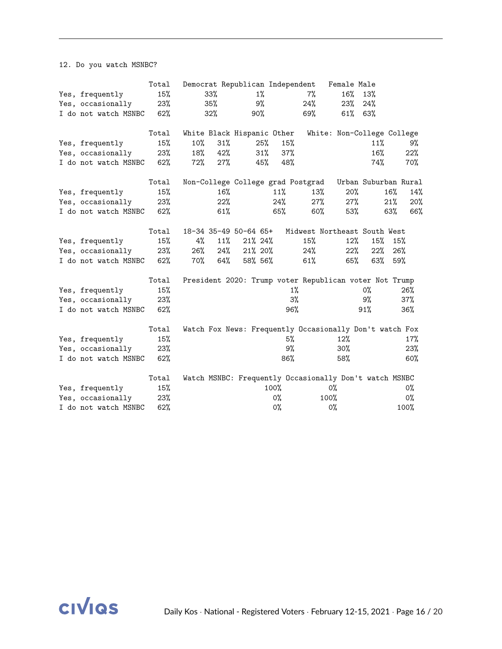12. Do you watch MSNBC?

|                      | Total |        |        |                            |        |       | Democrat Republican Independent Female Male             |        |                            |        |       |
|----------------------|-------|--------|--------|----------------------------|--------|-------|---------------------------------------------------------|--------|----------------------------|--------|-------|
| Yes, frequently      | 15%   |        | $33\%$ |                            | $1\%$  |       | 7%                                                      | 16%    | 13%                        |        |       |
| Yes, occasionally    | 23%   |        | 35%    |                            | 9%     |       |                                                         | 23%    | 24%                        |        |       |
| I do not watch MSNBC | 62%   |        | 32%    | 90%                        |        |       | 69%                                                     | 61%    | 63%                        |        |       |
|                      | Total |        |        | White Black Hispanic Other |        |       |                                                         |        | White: Non-College College |        |       |
| Yes, frequently      | 15%   | $10\%$ | 31%    |                            | 25%    | 15%   |                                                         |        | 11%                        |        | 9%    |
| Yes, occasionally    | 23%   | 18%    | 42%    |                            | $31\%$ | 37%   |                                                         |        | 16%                        |        | 22%   |
| I do not watch MSNBC | 62%   | 72%    | 27%    |                            | 45%    | 48%   |                                                         |        | 74%                        |        | 70%   |
|                      | Total |        |        |                            |        |       | Non-College College grad Postgrad                       |        | Urban Suburban Rural       |        |       |
| Yes, frequently      | 15%   |        | 16%    |                            |        | 11%   | 13%                                                     | 20%    |                            | $16\%$ | 14%   |
| Yes, occasionally    | 23%   |        | 22%    |                            |        | 24%   | 27%                                                     | $27\%$ |                            | 21%    | 20%   |
| I do not watch MSNBC | 62%   |        | 61%    |                            |        | 65%   | 60%                                                     | 53%    |                            | 63%    | 66%   |
|                      | Total |        |        | 18-34 35-49 50-64 65+      |        |       | Midwest Northeast South West                            |        |                            |        |       |
| Yes, frequently      | 15%   | 4%     | 11%    | $21\%$ 24%                 |        |       | 15%                                                     | 12%    | 15%                        | 15%    |       |
| Yes, occasionally    | 23%   | 26%    | 24%    | 21% 20%                    |        |       | 24%                                                     | 22%    | 22%                        | 26%    |       |
| I do not watch MSNBC | 62%   | 70%    | 64%    | 58% 56%                    |        |       | 61%                                                     | 65%    | 63%                        | 59%    |       |
|                      | Total |        |        |                            |        |       | President 2020: Trump voter Republican voter Not Trump  |        |                            |        |       |
| Yes, frequently      | 15%   |        |        |                            |        |       | $1\%$                                                   |        | 0%                         |        | 26%   |
| Yes, occasionally    | 23%   |        |        |                            |        | 3%    |                                                         |        | 9%                         |        | 37%   |
| I do not watch MSNBC | 62%   |        |        |                            |        | 96%   |                                                         |        | 91%                        |        | 36%   |
|                      | Total |        |        |                            |        |       | Watch Fox News: Frequently Occasionally Don't watch Fox |        |                            |        |       |
| Yes, frequently      | 15%   |        |        |                            |        | 5%    |                                                         | 12%    |                            |        | 17%   |
| Yes, occasionally    | 23%   |        |        |                            |        | 9%    |                                                         | $30\%$ |                            |        | 23%   |
| I do not watch MSNBC | 62%   |        |        |                            |        | 86%   |                                                         | 58%    |                            |        | 60%   |
|                      | Total |        |        |                            |        |       | Watch MSNBC: Frequently Occasionally Don't watch MSNBC  |        |                            |        |       |
| Yes, frequently      | 15%   |        |        |                            |        | 100%  |                                                         | 0%     |                            |        | $0\%$ |
| Yes, occasionally    | 23%   |        |        |                            |        | 0%    |                                                         | 100%   |                            |        | $0\%$ |
| I do not watch MSNBC | 62%   |        |        |                            |        | $0\%$ |                                                         | $0\%$  |                            |        | 100%  |

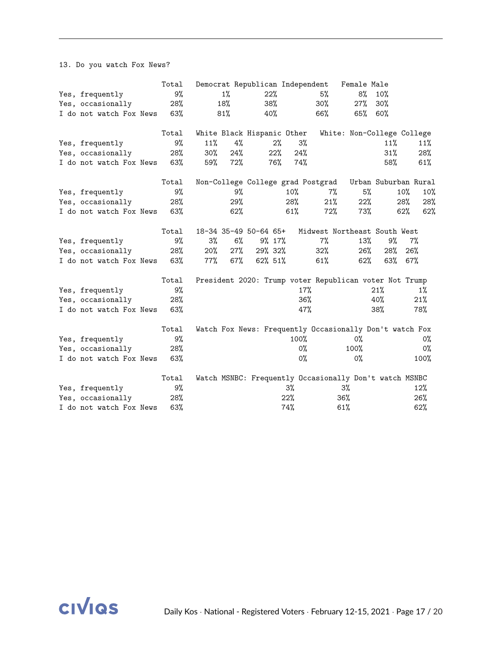13. Do you watch Fox News?

|                             | Total |        |       | Democrat Republican Independent   |     |        |                                                         | Female Male |                            |     |       |
|-----------------------------|-------|--------|-------|-----------------------------------|-----|--------|---------------------------------------------------------|-------------|----------------------------|-----|-------|
| Yes, frequently             | 9%    |        | $1\%$ | 22%                               |     |        | 5%                                                      | 8%          | 10%                        |     |       |
| Yes, occasionally           | 28%   |        | 18%   |                                   | 38% |        | 30%                                                     | 27%         | 30%                        |     |       |
| I do not watch Fox News     | 63%   |        | 81%   | 40%                               |     |        | 66%                                                     | 65%         | 60%                        |     |       |
|                             | Total |        |       | White Black Hispanic Other        |     |        |                                                         |             | White: Non-College College |     |       |
| Yes, frequently             | 9%    | 11%    | 4%    |                                   | 2%  | 3%     |                                                         |             | 11%                        |     | 11%   |
| Yes, occasionally           | 28%   | $30\%$ | 24%   |                                   | 22% | 24%    |                                                         |             | 31%                        |     | 28%   |
| I do not watch Fox News 63% |       | 59%    | 72%   |                                   | 76% | 74%    |                                                         |             | 58%                        |     | 61%   |
|                             | Total |        |       | Non-College College grad Postgrad |     |        |                                                         |             | Urban Suburban Rural       |     |       |
| Yes, frequently             | 9%    |        | 9%    |                                   |     | $10\%$ | 7%                                                      | 5%          |                            | 10% | 10%   |
| Yes, occasionally           | 28%   |        | 29%   |                                   |     | 28%    | 21%                                                     | 22%         |                            | 28% | 28%   |
| I do not watch Fox News     | 63%   |        | 62%   |                                   |     | 61%    | 72%                                                     | 73%         |                            | 62% | 62%   |
|                             | Total |        |       | 18-34 35-49 50-64 65+             |     |        | Midwest Northeast South West                            |             |                            |     |       |
| Yes, frequently             | 9%    | $3\%$  | 6%    | 9% 17%                            |     |        | $7\%$                                                   | 13%         | 9%                         |     | $7\%$ |
| Yes, occasionally           | 28%   | $20\%$ | 27%   | 29% 32%                           |     |        | 32%                                                     | $26\%$      | 28%                        | 26% |       |
| I do not watch Fox News 63% |       | $77\%$ | 67%   | 62% 51%                           |     |        | $61\%$                                                  | 62%         | 63% 67%                    |     |       |
|                             | Total |        |       |                                   |     |        | President 2020: Trump voter Republican voter Not Trump  |             |                            |     |       |
| Yes, frequently             | 9%    |        |       |                                   |     | 17%    |                                                         |             | 21%                        |     | $1\%$ |
| Yes, occasionally           | 28%   |        |       |                                   |     | 36%    |                                                         |             | 40%                        |     | 21%   |
| I do not watch Fox News     | 63%   |        |       |                                   |     | 47%    |                                                         |             | 38%                        |     | 78%   |
|                             | Total |        |       |                                   |     |        | Watch Fox News: Frequently Occasionally Don't watch Fox |             |                            |     |       |
| Yes, frequently             | 9%    |        |       |                                   |     | 100%   |                                                         | 0%          |                            |     | 0%    |
| Yes, occasionally           | 28%   |        |       |                                   |     | 0%     |                                                         | 100%        |                            |     | $0\%$ |
| I do not watch Fox News     | 63%   |        |       |                                   |     | 0%     |                                                         | $0\%$       |                            |     | 100%  |
|                             | Total |        |       |                                   |     |        | Watch MSNBC: Frequently Occasionally Don't watch MSNBC  |             |                            |     |       |
| Yes, frequently             | 9%    |        |       |                                   | 3%  |        |                                                         | 3%          |                            |     | 12%   |
| Yes, occasionally           | 28%   |        |       |                                   | 22% |        | 36%                                                     |             |                            |     | 26%   |
| I do not watch Fox News     | 63%   |        |       |                                   | 74% |        | 61%                                                     |             |                            |     | 62%   |

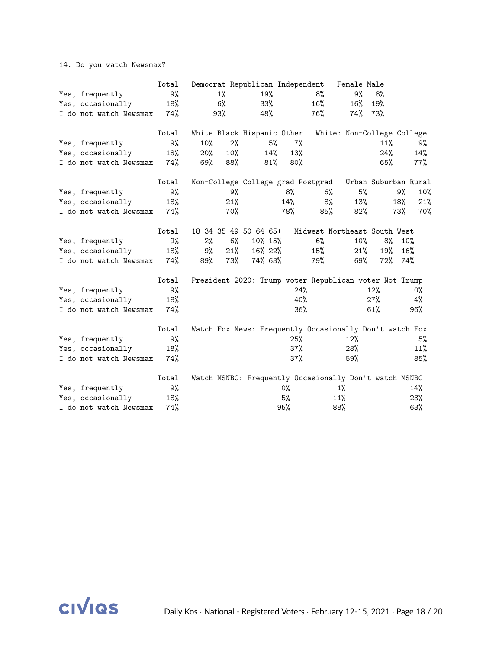14. Do you watch Newsmax?

|                            | Total |     |       | Democrat Republican Independent |        |                                                         | Female Male |                            |     |     |
|----------------------------|-------|-----|-------|---------------------------------|--------|---------------------------------------------------------|-------------|----------------------------|-----|-----|
| Yes, frequently            | 9%    |     | $1\%$ | 19%                             |        | 8%                                                      | 9%          | 8%                         |     |     |
| Yes, occasionally          | 18%   |     | 6%    |                                 | 33%    | 16%                                                     | 16%         | 19%                        |     |     |
| I do not watch Newsmax 74% |       |     | 93%   | 48%                             |        | 76%                                                     | 74% 73%     |                            |     |     |
|                            | Total |     |       | White Black Hispanic Other      |        |                                                         |             | White: Non-College College |     |     |
| Yes, frequently            | 9%    | 10% | 2%    | 5%                              | $7\%$  |                                                         |             | 11%                        |     | 9%  |
| Yes, occasionally          | 18%   | 20% | 10%   | 14%                             | 13%    |                                                         |             | 24%                        |     | 14% |
| I do not watch Newsmax 74% |       | 69% | 88%   | 81%                             | 80%    |                                                         |             | 65%                        |     | 77% |
|                            | Total |     |       |                                 |        | Non-College College grad Postgrad                       |             | Urban Suburban Rural       |     |     |
| Yes, frequently            | 9%    |     | 9%    |                                 | 8%     | 6%                                                      | 5%          |                            | 9%  | 10% |
| Yes, occasionally          | 18%   |     | 21%   |                                 | $14\%$ | 8%                                                      | 13%         |                            | 18% | 21% |
| I do not watch Newsmax 74% |       |     | 70%   |                                 | 78%    | 85%                                                     | $82\%$      |                            | 73% | 70% |
|                            | Total |     |       | 18-34 35-49 50-64 65+           |        | Midwest Northeast South West                            |             |                            |     |     |
| Yes, frequently            | 9%    | 2%  | 6%    | 10% 15%                         |        | $6\%$                                                   | 10%         | 8%                         | 10% |     |
| Yes, occasionally          | 18%   | 9%  | 21%   | 16% 22%                         |        | 15%                                                     | 21%         | 19%                        | 16% |     |
| I do not watch Newsmax 74% |       | 89% | 73%   | 74% 63%                         |        | 79%                                                     | 69%         | 72% 74%                    |     |     |
|                            | Total |     |       |                                 |        | President 2020: Trump voter Republican voter Not Trump  |             |                            |     |     |
| Yes, frequently            | 9%    |     |       |                                 |        | 24%                                                     |             | 12%                        |     | 0%  |
| Yes, occasionally          | 18%   |     |       |                                 |        | 40%                                                     |             | 27%                        |     | 4%  |
| I do not watch Newsmax     | 74%   |     |       |                                 |        | 36%                                                     |             | 61%                        |     | 96% |
|                            | Total |     |       |                                 |        | Watch Fox News: Frequently Occasionally Don't watch Fox |             |                            |     |     |
| Yes, frequently            | 9%    |     |       |                                 | 25%    |                                                         | 12%         |                            |     | 5%  |
| Yes, occasionally          | 18%   |     |       |                                 | 37%    |                                                         | 28%         |                            |     | 11% |
| I do not watch Newsmax     | 74%   |     |       |                                 | 37%    |                                                         | 59%         |                            |     | 85% |
|                            | Total |     |       |                                 |        | Watch MSNBC: Frequently Occasionally Don't watch MSNBC  |             |                            |     |     |
| Yes, frequently            | 9%    |     |       |                                 | 0%     |                                                         | $1\%$       |                            |     | 14% |
| Yes, occasionally          | 18%   |     |       |                                 | 5%     | 11%                                                     |             |                            |     | 23% |
| I do not watch Newsmax     | 74%   |     |       |                                 | 95%    | 88%                                                     |             |                            |     | 63% |

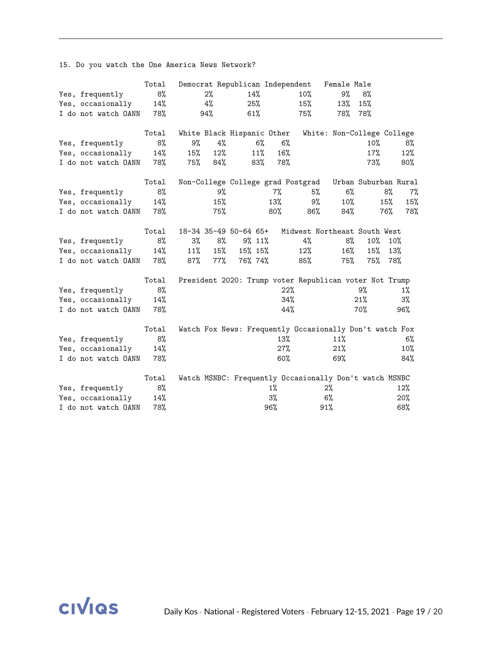15. Do you watch the One America News Network?

|                         | Total |     |     | Democrat Republican Independent |       |        |                                                         | Female Male                |                      |     |        |
|-------------------------|-------|-----|-----|---------------------------------|-------|--------|---------------------------------------------------------|----------------------------|----------------------|-----|--------|
| Yes, frequently         | 8%    |     | 2%  |                                 | 14%   |        | 10%                                                     | 9%                         | 8%                   |     |        |
| Yes, occasionally       | 14%   |     | 4%  |                                 | 25%   |        | 15%                                                     | 13%                        | 15%                  |     |        |
| I do not watch OANN     | 78%   |     | 94% | 61%                             |       |        | 75%                                                     | 78%                        | 78%                  |     |        |
|                         | Total |     |     | White Black Hispanic Other      |       |        |                                                         | White: Non-College College |                      |     |        |
| Yes, frequently         | 8%    | 9%  | 4%  |                                 | $6\%$ | 6%     |                                                         |                            | 10%                  |     | 8%     |
| Yes, occasionally       | 14%   | 15% | 12% |                                 | 11%   | 16%    |                                                         |                            | 17%                  |     | 12%    |
| I do not watch OANN 78% |       | 75% | 84% |                                 | 83%   | 78%    |                                                         |                            | 73%                  |     | $80\%$ |
|                         | Total |     |     |                                 |       |        | Non-College College grad Postgrad                       |                            | Urban Suburban Rural |     |        |
| Yes, frequently         | 8%    |     | 9%  |                                 |       | 7%     | 5%                                                      | $6\%$                      |                      | 8%  | $7\%$  |
| Yes, occasionally       | 14%   |     | 15% |                                 |       | 13%    | 9%                                                      | 10%                        |                      | 15% | 15%    |
| I do not watch OANN     | 78%   |     | 75% |                                 |       | $80\%$ | 86%                                                     | 84%                        |                      | 76% | 78%    |
|                         | Total |     |     | 18-34 35-49 50-64 65+           |       |        | Midwest Northeast South West                            |                            |                      |     |        |
| Yes, frequently         | 8%    | 3%  | 8%  | $9\%$ 11%                       |       |        | 4%                                                      | 8%                         | 10%                  | 10% |        |
| Yes, occasionally       | 14%   | 11% | 15% | 15% 15%                         |       |        | 12%                                                     | $16\%$                     | 15%                  | 13% |        |
| I do not watch OANN 78% |       | 87% | 77% | 76% 74%                         |       |        | 85%                                                     | 75%                        | 75%                  | 78% |        |
|                         | Total |     |     |                                 |       |        | President 2020: Trump voter Republican voter Not Trump  |                            |                      |     |        |
| Yes, frequently         | 8%    |     |     |                                 |       | 22%    |                                                         |                            | 9%                   |     | $1\%$  |
| Yes, occasionally       | 14%   |     |     |                                 |       | 34%    |                                                         |                            | 21%                  |     | 3%     |
| I do not watch OANN     | 78%   |     |     |                                 |       | 44%    |                                                         |                            | 70%                  |     | 96%    |
|                         | Total |     |     |                                 |       |        | Watch Fox News: Frequently Occasionally Don't watch Fox |                            |                      |     |        |
| Yes, frequently         | 8%    |     |     |                                 |       | 13%    |                                                         | 11%                        |                      |     | $6\%$  |
| Yes, occasionally       | 14%   |     |     |                                 |       | 27%    |                                                         | 21%                        |                      |     | 10%    |
| I do not watch OANN     | 78%   |     |     |                                 |       | 60%    |                                                         | 69%                        |                      |     | 84%    |
|                         | Total |     |     |                                 |       |        | Watch MSNBC: Frequently Occasionally Don't watch MSNBC  |                            |                      |     |        |
| Yes, frequently         | 8%    |     |     |                                 |       | $1\%$  |                                                         | $2\%$                      |                      |     | 12%    |
| Yes, occasionally       | 14%   |     |     |                                 |       | 3%     |                                                         | $6\%$                      |                      |     | 20%    |
| I do not watch OANN     | 78%   |     |     |                                 |       | 96%    |                                                         | 91%                        |                      |     | 68%    |